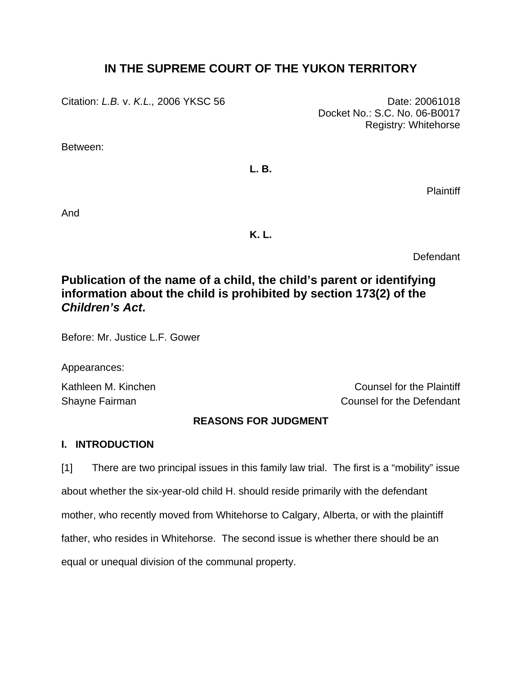# **IN THE SUPREME COURT OF THE YUKON TERRITORY**

Citation: *L.B. v. K.L.,* 2006 YKSC 56 Date: 20061018

Docket No.: S.C. No. 06-B0017 Registry: Whitehorse

Between:

**L. B.** 

**Plaintiff** 

And

**K. L.** 

Defendant

# **Publication of the name of a child, the child's parent or identifying information about the child is prohibited by section 173(2) of the**  *Children's Act***.**

Before: Mr. Justice L.F. Gower

Appearances:

Kathleen M. Kinchen Counsel for the Plaintiff Shayne Fairman Counsel for the Defendant

## **REASONS FOR JUDGMENT**

## **I. INTRODUCTION**

[1] There are two principal issues in this family law trial. The first is a "mobility" issue about whether the six-year-old child H. should reside primarily with the defendant mother, who recently moved from Whitehorse to Calgary, Alberta, or with the plaintiff father, who resides in Whitehorse. The second issue is whether there should be an equal or unequal division of the communal property.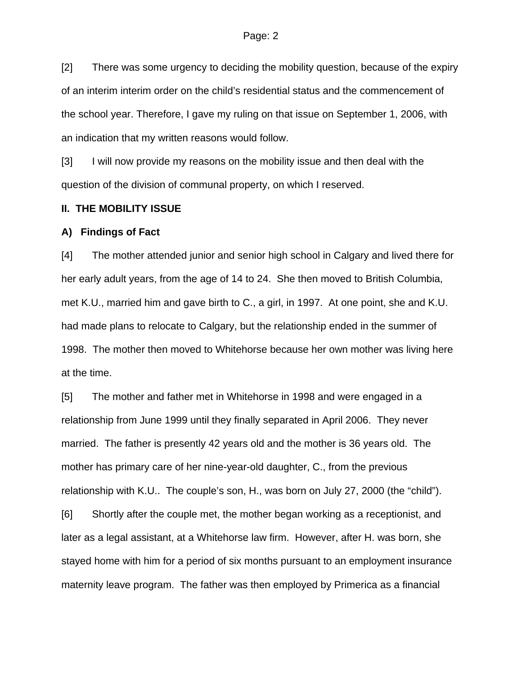[2] There was some urgency to deciding the mobility question, because of the expiry of an interim interim order on the child's residential status and the commencement of the school year. Therefore, I gave my ruling on that issue on September 1, 2006, with an indication that my written reasons would follow.

[3] I will now provide my reasons on the mobility issue and then deal with the question of the division of communal property, on which I reserved.

## **II. THE MOBILITY ISSUE**

#### **A) Findings of Fact**

[4] The mother attended junior and senior high school in Calgary and lived there for her early adult years, from the age of 14 to 24. She then moved to British Columbia, met K.U., married him and gave birth to C., a girl, in 1997. At one point, she and K.U. had made plans to relocate to Calgary, but the relationship ended in the summer of 1998. The mother then moved to Whitehorse because her own mother was living here at the time.

[5] The mother and father met in Whitehorse in 1998 and were engaged in a relationship from June 1999 until they finally separated in April 2006. They never married. The father is presently 42 years old and the mother is 36 years old. The mother has primary care of her nine-year-old daughter, C., from the previous relationship with K.U.. The couple's son, H., was born on July 27, 2000 (the "child"). [6] Shortly after the couple met, the mother began working as a receptionist, and later as a legal assistant, at a Whitehorse law firm. However, after H. was born, she stayed home with him for a period of six months pursuant to an employment insurance maternity leave program. The father was then employed by Primerica as a financial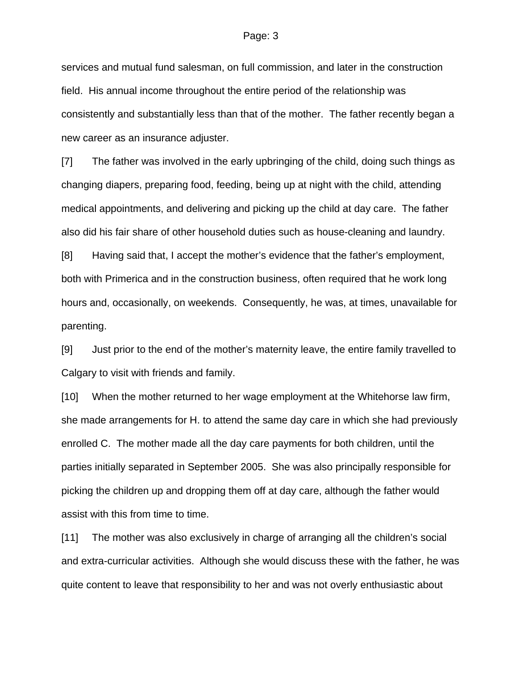services and mutual fund salesman, on full commission, and later in the construction field. His annual income throughout the entire period of the relationship was consistently and substantially less than that of the mother. The father recently began a new career as an insurance adjuster.

[7] The father was involved in the early upbringing of the child, doing such things as changing diapers, preparing food, feeding, being up at night with the child, attending medical appointments, and delivering and picking up the child at day care. The father also did his fair share of other household duties such as house-cleaning and laundry.

[8] Having said that, I accept the mother's evidence that the father's employment, both with Primerica and in the construction business, often required that he work long hours and, occasionally, on weekends. Consequently, he was, at times, unavailable for parenting.

[9] Just prior to the end of the mother's maternity leave, the entire family travelled to Calgary to visit with friends and family.

[10] When the mother returned to her wage employment at the Whitehorse law firm, she made arrangements for H. to attend the same day care in which she had previously enrolled C. The mother made all the day care payments for both children, until the parties initially separated in September 2005. She was also principally responsible for picking the children up and dropping them off at day care, although the father would assist with this from time to time.

[11] The mother was also exclusively in charge of arranging all the children's social and extra-curricular activities. Although she would discuss these with the father, he was quite content to leave that responsibility to her and was not overly enthusiastic about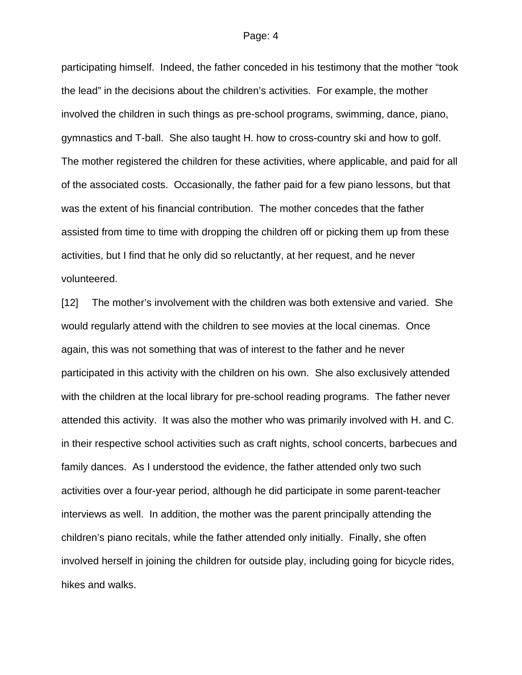participating himself. Indeed, the father conceded in his testimony that the mother "took the lead" in the decisions about the children's activities. For example, the mother involved the children in such things as pre-school programs, swimming, dance, piano, gymnastics and T-ball. She also taught H. how to cross-country ski and how to golf. The mother registered the children for these activities, where applicable, and paid for all of the associated costs. Occasionally, the father paid for a few piano lessons, but that was the extent of his financial contribution. The mother concedes that the father assisted from time to time with dropping the children off or picking them up from these activities, but I find that he only did so reluctantly, at her request, and he never volunteered.

[12] The mother's involvement with the children was both extensive and varied. She would regularly attend with the children to see movies at the local cinemas. Once again, this was not something that was of interest to the father and he never participated in this activity with the children on his own. She also exclusively attended with the children at the local library for pre-school reading programs. The father never attended this activity. It was also the mother who was primarily involved with H. and C. in their respective school activities such as craft nights, school concerts, barbecues and family dances. As I understood the evidence, the father attended only two such activities over a four-year period, although he did participate in some parent-teacher interviews as well. In addition, the mother was the parent principally attending the children's piano recitals, while the father attended only initially. Finally, she often involved herself in joining the children for outside play, including going for bicycle rides, hikes and walks.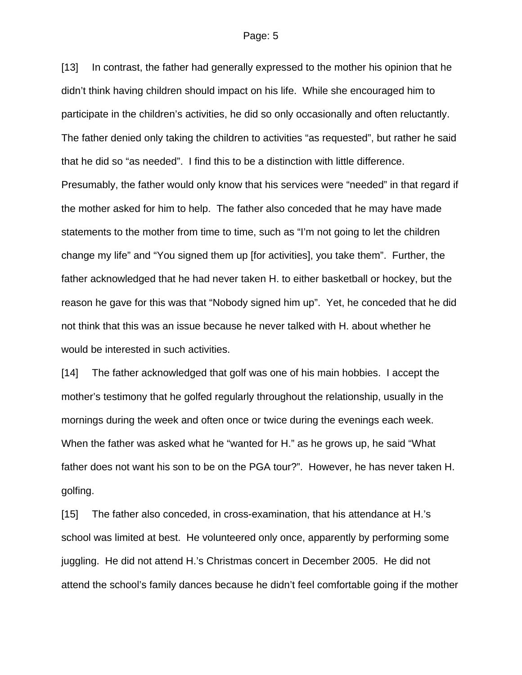[13] In contrast, the father had generally expressed to the mother his opinion that he didn't think having children should impact on his life. While she encouraged him to participate in the children's activities, he did so only occasionally and often reluctantly. The father denied only taking the children to activities "as requested", but rather he said that he did so "as needed". I find this to be a distinction with little difference. Presumably, the father would only know that his services were "needed" in that regard if the mother asked for him to help. The father also conceded that he may have made statements to the mother from time to time, such as "I'm not going to let the children change my life" and "You signed them up [for activities], you take them". Further, the father acknowledged that he had never taken H. to either basketball or hockey, but the reason he gave for this was that "Nobody signed him up". Yet, he conceded that he did not think that this was an issue because he never talked with H. about whether he would be interested in such activities.

[14] The father acknowledged that golf was one of his main hobbies. I accept the mother's testimony that he golfed regularly throughout the relationship, usually in the mornings during the week and often once or twice during the evenings each week. When the father was asked what he "wanted for H." as he grows up, he said "What father does not want his son to be on the PGA tour?". However, he has never taken H. golfing.

[15] The father also conceded, in cross-examination, that his attendance at H.'s school was limited at best. He volunteered only once, apparently by performing some juggling. He did not attend H.'s Christmas concert in December 2005. He did not attend the school's family dances because he didn't feel comfortable going if the mother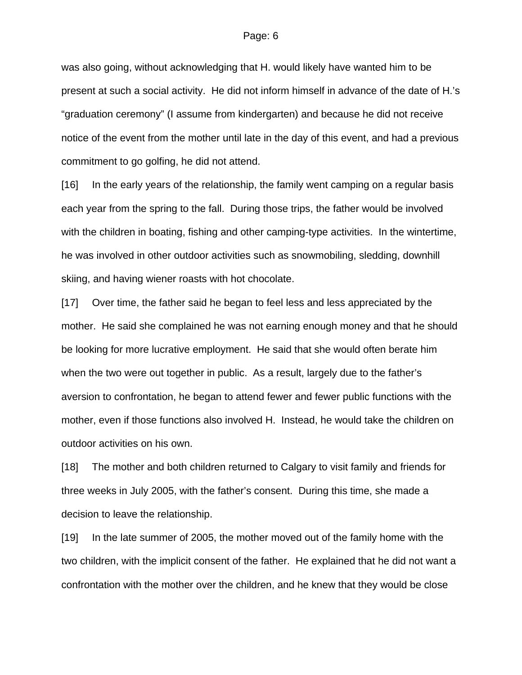was also going, without acknowledging that H. would likely have wanted him to be present at such a social activity. He did not inform himself in advance of the date of H.'s "graduation ceremony" (I assume from kindergarten) and because he did not receive notice of the event from the mother until late in the day of this event, and had a previous commitment to go golfing, he did not attend.

[16] In the early years of the relationship, the family went camping on a regular basis each year from the spring to the fall. During those trips, the father would be involved with the children in boating, fishing and other camping-type activities. In the wintertime, he was involved in other outdoor activities such as snowmobiling, sledding, downhill skiing, and having wiener roasts with hot chocolate.

[17] Over time, the father said he began to feel less and less appreciated by the mother. He said she complained he was not earning enough money and that he should be looking for more lucrative employment. He said that she would often berate him when the two were out together in public. As a result, largely due to the father's aversion to confrontation, he began to attend fewer and fewer public functions with the mother, even if those functions also involved H. Instead, he would take the children on outdoor activities on his own.

[18] The mother and both children returned to Calgary to visit family and friends for three weeks in July 2005, with the father's consent. During this time, she made a decision to leave the relationship.

[19] In the late summer of 2005, the mother moved out of the family home with the two children, with the implicit consent of the father. He explained that he did not want a confrontation with the mother over the children, and he knew that they would be close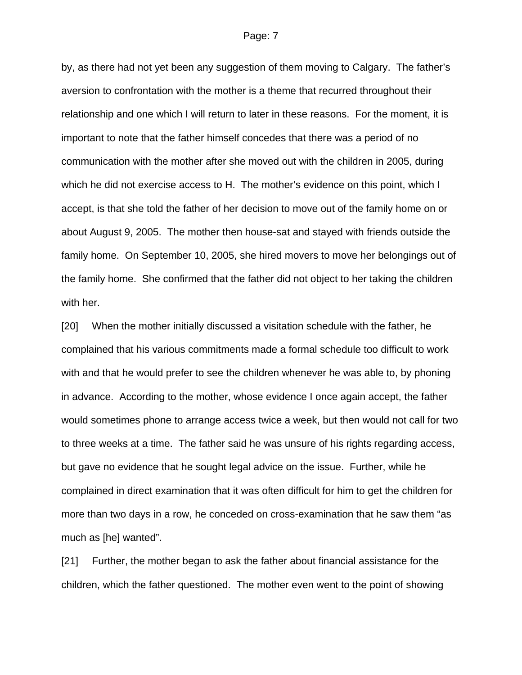by, as there had not yet been any suggestion of them moving to Calgary. The father's aversion to confrontation with the mother is a theme that recurred throughout their relationship and one which I will return to later in these reasons. For the moment, it is important to note that the father himself concedes that there was a period of no communication with the mother after she moved out with the children in 2005, during which he did not exercise access to H. The mother's evidence on this point, which I accept, is that she told the father of her decision to move out of the family home on or about August 9, 2005. The mother then house-sat and stayed with friends outside the family home. On September 10, 2005, she hired movers to move her belongings out of the family home. She confirmed that the father did not object to her taking the children with her.

[20] When the mother initially discussed a visitation schedule with the father, he complained that his various commitments made a formal schedule too difficult to work with and that he would prefer to see the children whenever he was able to, by phoning in advance. According to the mother, whose evidence I once again accept, the father would sometimes phone to arrange access twice a week, but then would not call for two to three weeks at a time. The father said he was unsure of his rights regarding access, but gave no evidence that he sought legal advice on the issue. Further, while he complained in direct examination that it was often difficult for him to get the children for more than two days in a row, he conceded on cross-examination that he saw them "as much as [he] wanted".

[21] Further, the mother began to ask the father about financial assistance for the children, which the father questioned. The mother even went to the point of showing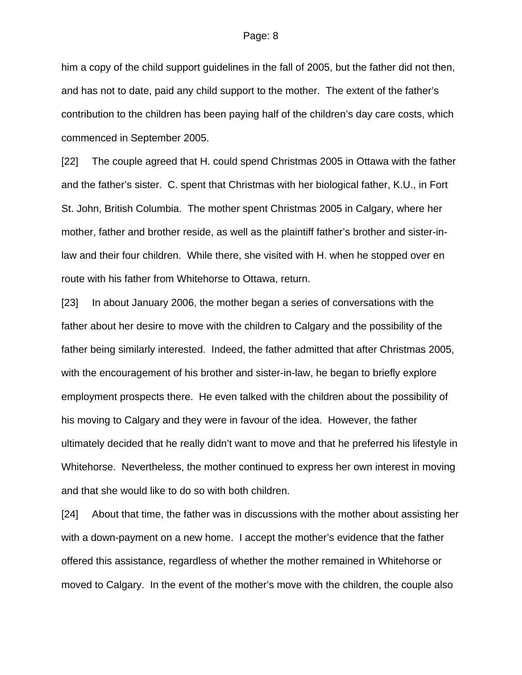him a copy of the child support guidelines in the fall of 2005, but the father did not then, and has not to date, paid any child support to the mother. The extent of the father's contribution to the children has been paying half of the children's day care costs, which commenced in September 2005.

[22] The couple agreed that H. could spend Christmas 2005 in Ottawa with the father and the father's sister. C. spent that Christmas with her biological father, K.U., in Fort St. John, British Columbia. The mother spent Christmas 2005 in Calgary, where her mother, father and brother reside, as well as the plaintiff father's brother and sister-inlaw and their four children. While there, she visited with H. when he stopped over en route with his father from Whitehorse to Ottawa, return.

[23] In about January 2006, the mother began a series of conversations with the father about her desire to move with the children to Calgary and the possibility of the father being similarly interested. Indeed, the father admitted that after Christmas 2005, with the encouragement of his brother and sister-in-law, he began to briefly explore employment prospects there. He even talked with the children about the possibility of his moving to Calgary and they were in favour of the idea. However, the father ultimately decided that he really didn't want to move and that he preferred his lifestyle in Whitehorse. Nevertheless, the mother continued to express her own interest in moving and that she would like to do so with both children.

[24] About that time, the father was in discussions with the mother about assisting her with a down-payment on a new home. I accept the mother's evidence that the father offered this assistance, regardless of whether the mother remained in Whitehorse or moved to Calgary. In the event of the mother's move with the children, the couple also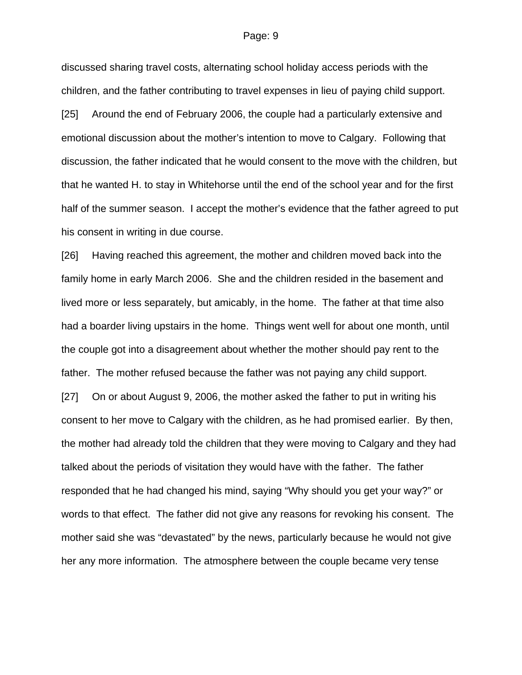discussed sharing travel costs, alternating school holiday access periods with the children, and the father contributing to travel expenses in lieu of paying child support. [25] Around the end of February 2006, the couple had a particularly extensive and emotional discussion about the mother's intention to move to Calgary. Following that discussion, the father indicated that he would consent to the move with the children, but that he wanted H. to stay in Whitehorse until the end of the school year and for the first half of the summer season. I accept the mother's evidence that the father agreed to put his consent in writing in due course.

[26] Having reached this agreement, the mother and children moved back into the family home in early March 2006. She and the children resided in the basement and lived more or less separately, but amicably, in the home. The father at that time also had a boarder living upstairs in the home. Things went well for about one month, until the couple got into a disagreement about whether the mother should pay rent to the father. The mother refused because the father was not paying any child support. [27] On or about August 9, 2006, the mother asked the father to put in writing his consent to her move to Calgary with the children, as he had promised earlier. By then, the mother had already told the children that they were moving to Calgary and they had talked about the periods of visitation they would have with the father. The father responded that he had changed his mind, saying "Why should you get your way?" or words to that effect. The father did not give any reasons for revoking his consent. The mother said she was "devastated" by the news, particularly because he would not give her any more information. The atmosphere between the couple became very tense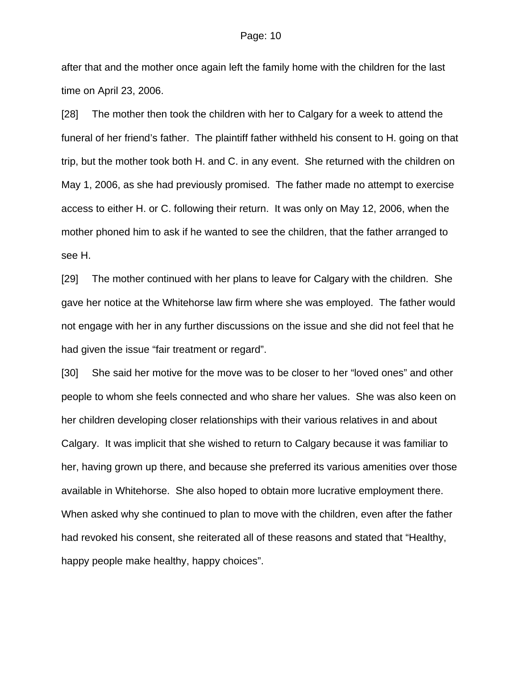after that and the mother once again left the family home with the children for the last time on April 23, 2006.

[28] The mother then took the children with her to Calgary for a week to attend the funeral of her friend's father. The plaintiff father withheld his consent to H. going on that trip, but the mother took both H. and C. in any event. She returned with the children on May 1, 2006, as she had previously promised. The father made no attempt to exercise access to either H. or C. following their return. It was only on May 12, 2006, when the mother phoned him to ask if he wanted to see the children, that the father arranged to see H.

[29] The mother continued with her plans to leave for Calgary with the children. She gave her notice at the Whitehorse law firm where she was employed. The father would not engage with her in any further discussions on the issue and she did not feel that he had given the issue "fair treatment or regard".

[30] She said her motive for the move was to be closer to her "loved ones" and other people to whom she feels connected and who share her values. She was also keen on her children developing closer relationships with their various relatives in and about Calgary. It was implicit that she wished to return to Calgary because it was familiar to her, having grown up there, and because she preferred its various amenities over those available in Whitehorse. She also hoped to obtain more lucrative employment there. When asked why she continued to plan to move with the children, even after the father had revoked his consent, she reiterated all of these reasons and stated that "Healthy, happy people make healthy, happy choices".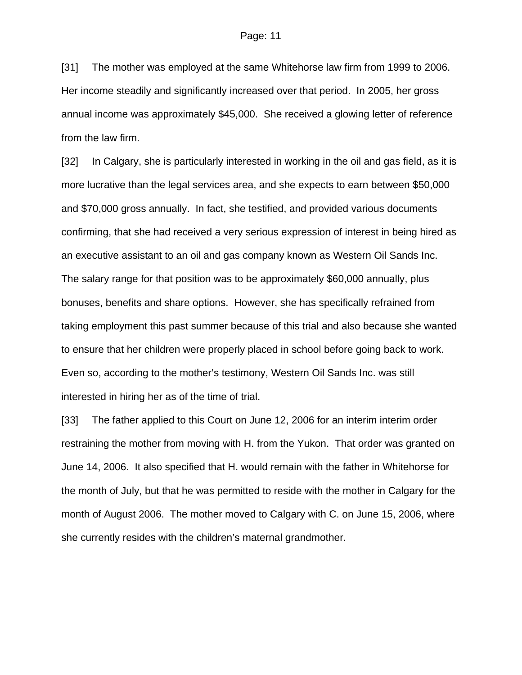[31] The mother was employed at the same Whitehorse law firm from 1999 to 2006. Her income steadily and significantly increased over that period. In 2005, her gross annual income was approximately \$45,000. She received a glowing letter of reference from the law firm.

[32] In Calgary, she is particularly interested in working in the oil and gas field, as it is more lucrative than the legal services area, and she expects to earn between \$50,000 and \$70,000 gross annually. In fact, she testified, and provided various documents confirming, that she had received a very serious expression of interest in being hired as an executive assistant to an oil and gas company known as Western Oil Sands Inc. The salary range for that position was to be approximately \$60,000 annually, plus bonuses, benefits and share options. However, she has specifically refrained from taking employment this past summer because of this trial and also because she wanted to ensure that her children were properly placed in school before going back to work. Even so, according to the mother's testimony, Western Oil Sands Inc. was still interested in hiring her as of the time of trial.

[33] The father applied to this Court on June 12, 2006 for an interim interim order restraining the mother from moving with H. from the Yukon. That order was granted on June 14, 2006. It also specified that H. would remain with the father in Whitehorse for the month of July, but that he was permitted to reside with the mother in Calgary for the month of August 2006. The mother moved to Calgary with C. on June 15, 2006, where she currently resides with the children's maternal grandmother.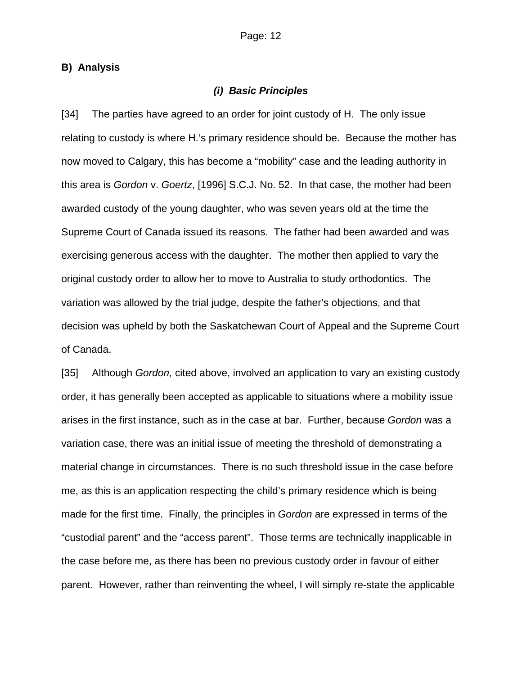## **B) Analysis**

## *(i) Basic Principles*

[34] The parties have agreed to an order for joint custody of H. The only issue relating to custody is where H.'s primary residence should be. Because the mother has now moved to Calgary, this has become a "mobility" case and the leading authority in this area is *Gordon* v. *Goertz*, [1996] S.C.J. No. 52. In that case, the mother had been awarded custody of the young daughter, who was seven years old at the time the Supreme Court of Canada issued its reasons. The father had been awarded and was exercising generous access with the daughter. The mother then applied to vary the original custody order to allow her to move to Australia to study orthodontics. The variation was allowed by the trial judge, despite the father's objections, and that decision was upheld by both the Saskatchewan Court of Appeal and the Supreme Court of Canada.

[35] Although *Gordon,* cited above, involved an application to vary an existing custody order, it has generally been accepted as applicable to situations where a mobility issue arises in the first instance, such as in the case at bar. Further, because *Gordon* was a variation case, there was an initial issue of meeting the threshold of demonstrating a material change in circumstances. There is no such threshold issue in the case before me, as this is an application respecting the child's primary residence which is being made for the first time. Finally, the principles in *Gordon* are expressed in terms of the "custodial parent" and the "access parent". Those terms are technically inapplicable in the case before me, as there has been no previous custody order in favour of either parent. However, rather than reinventing the wheel, I will simply re-state the applicable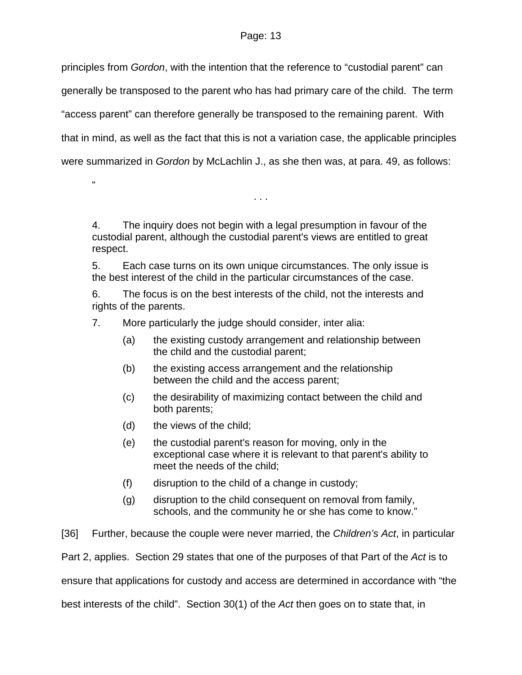principles from *Gordon*, with the intention that the reference to "custodial parent" can generally be transposed to the parent who has had primary care of the child. The term "access parent" can therefore generally be transposed to the remaining parent. With that in mind, as well as the fact that this is not a variation case, the applicable principles were summarized in *Gordon* by McLachlin J., as she then was, at para. 49, as follows:

4. The inquiry does not begin with a legal presumption in favour of the custodial parent, although the custodial parent's views are entitled to great respect.

. . .

5. Each case turns on its own unique circumstances. The only issue is the best interest of the child in the particular circumstances of the case.

6. The focus is on the best interests of the child, not the interests and rights of the parents.

7. More particularly the judge should consider, inter alia:

- (a) the existing custody arrangement and relationship between the child and the custodial parent;
- (b) the existing access arrangement and the relationship between the child and the access parent;
- (c) the desirability of maximizing contact between the child and both parents;
- (d) the views of the child;

 $\alpha$ 

- (e) the custodial parent's reason for moving, only in the exceptional case where it is relevant to that parent's ability to meet the needs of the child;
- (f) disruption to the child of a change in custody;
- (g) disruption to the child consequent on removal from family, schools, and the community he or she has come to know."

[36] Further, because the couple were never married, the *Children's Act*, in particular

Part 2, applies. Section 29 states that one of the purposes of that Part of the *Act* is to

ensure that applications for custody and access are determined in accordance with "the

best interests of the child". Section 30(1) of the *Act* then goes on to state that, in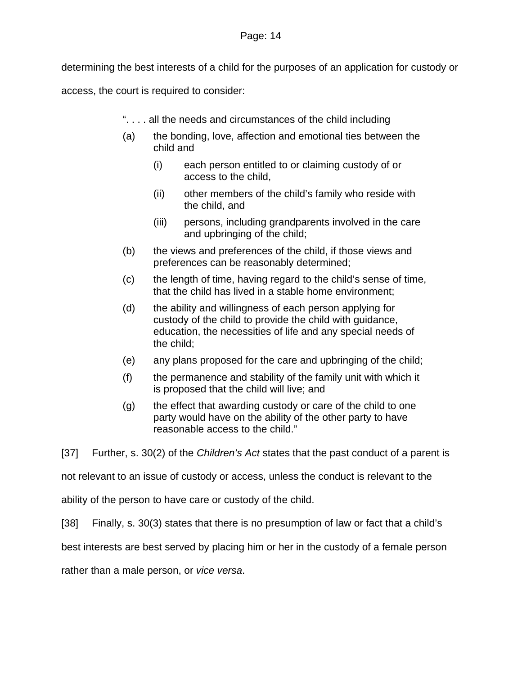determining the best interests of a child for the purposes of an application for custody or

access, the court is required to consider:

- ". . . . all the needs and circumstances of the child including
- (a) the bonding, love, affection and emotional ties between the child and
	- (i) each person entitled to or claiming custody of or access to the child,
	- (ii) other members of the child's family who reside with the child, and
	- (iii) persons, including grandparents involved in the care and upbringing of the child;
- (b) the views and preferences of the child, if those views and preferences can be reasonably determined;
- (c) the length of time, having regard to the child's sense of time, that the child has lived in a stable home environment;
- (d) the ability and willingness of each person applying for custody of the child to provide the child with guidance, education, the necessities of life and any special needs of the child;
- (e) any plans proposed for the care and upbringing of the child;
- (f) the permanence and stability of the family unit with which it is proposed that the child will live; and
- (g) the effect that awarding custody or care of the child to one party would have on the ability of the other party to have reasonable access to the child."

[37] Further, s. 30(2) of the *Children's Act* states that the past conduct of a parent is

not relevant to an issue of custody or access, unless the conduct is relevant to the

ability of the person to have care or custody of the child.

[38] Finally, s. 30(3) states that there is no presumption of law or fact that a child's

best interests are best served by placing him or her in the custody of a female person

rather than a male person, or *vice versa*.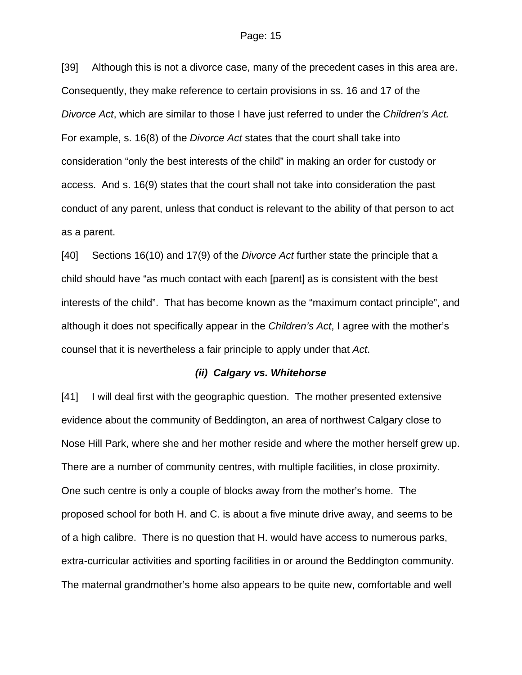[39] Although this is not a divorce case, many of the precedent cases in this area are. Consequently, they make reference to certain provisions in ss. 16 and 17 of the *Divorce Act*, which are similar to those I have just referred to under the *Children's Act.* For example, s. 16(8) of the *Divorce Act* states that the court shall take into consideration "only the best interests of the child" in making an order for custody or access. And s. 16(9) states that the court shall not take into consideration the past conduct of any parent, unless that conduct is relevant to the ability of that person to act as a parent.

[40] Sections 16(10) and 17(9) of the *Divorce Act* further state the principle that a child should have "as much contact with each [parent] as is consistent with the best interests of the child". That has become known as the "maximum contact principle", and although it does not specifically appear in the *Children's Act*, I agree with the mother's counsel that it is nevertheless a fair principle to apply under that *Act*.

## *(ii) Calgary vs. Whitehorse*

[41] I will deal first with the geographic question. The mother presented extensive evidence about the community of Beddington, an area of northwest Calgary close to Nose Hill Park, where she and her mother reside and where the mother herself grew up. There are a number of community centres, with multiple facilities, in close proximity. One such centre is only a couple of blocks away from the mother's home. The proposed school for both H. and C. is about a five minute drive away, and seems to be of a high calibre. There is no question that H. would have access to numerous parks, extra-curricular activities and sporting facilities in or around the Beddington community. The maternal grandmother's home also appears to be quite new, comfortable and well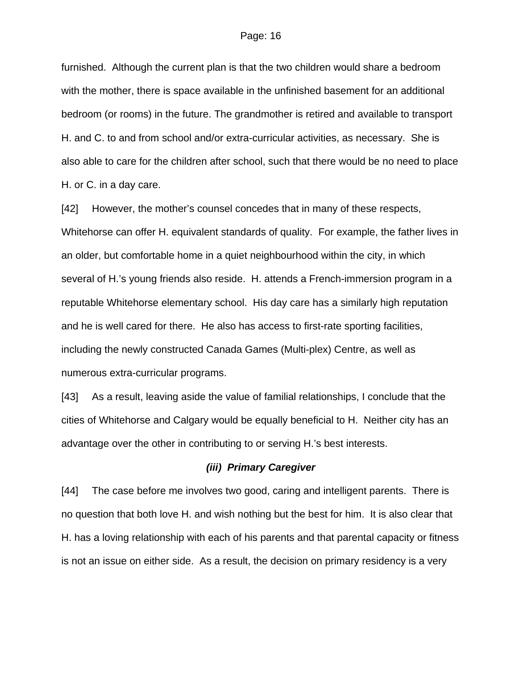furnished. Although the current plan is that the two children would share a bedroom with the mother, there is space available in the unfinished basement for an additional bedroom (or rooms) in the future. The grandmother is retired and available to transport H. and C. to and from school and/or extra-curricular activities, as necessary. She is also able to care for the children after school, such that there would be no need to place H. or C. in a day care.

[42] However, the mother's counsel concedes that in many of these respects, Whitehorse can offer H. equivalent standards of quality. For example, the father lives in an older, but comfortable home in a quiet neighbourhood within the city, in which several of H.'s young friends also reside. H. attends a French-immersion program in a reputable Whitehorse elementary school. His day care has a similarly high reputation and he is well cared for there. He also has access to first-rate sporting facilities, including the newly constructed Canada Games (Multi-plex) Centre, as well as numerous extra-curricular programs.

[43] As a result, leaving aside the value of familial relationships, I conclude that the cities of Whitehorse and Calgary would be equally beneficial to H. Neither city has an advantage over the other in contributing to or serving H.'s best interests.

## *(iii) Primary Caregiver*

[44] The case before me involves two good, caring and intelligent parents. There is no question that both love H. and wish nothing but the best for him. It is also clear that H. has a loving relationship with each of his parents and that parental capacity or fitness is not an issue on either side. As a result, the decision on primary residency is a very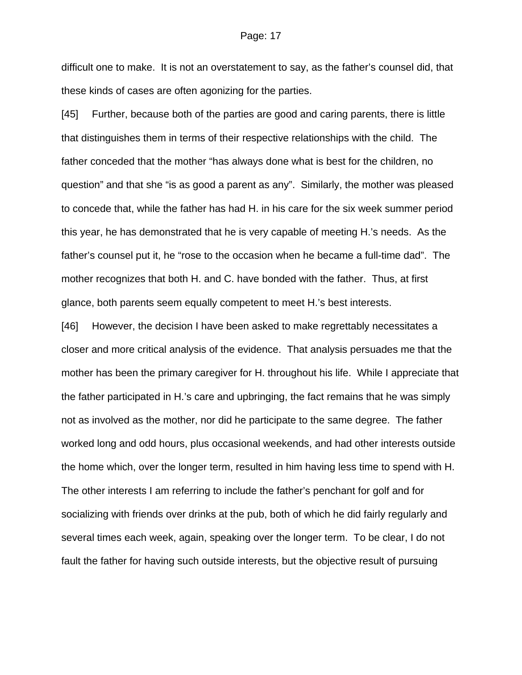difficult one to make. It is not an overstatement to say, as the father's counsel did, that these kinds of cases are often agonizing for the parties.

[45] Further, because both of the parties are good and caring parents, there is little that distinguishes them in terms of their respective relationships with the child. The father conceded that the mother "has always done what is best for the children, no question" and that she "is as good a parent as any". Similarly, the mother was pleased to concede that, while the father has had H. in his care for the six week summer period this year, he has demonstrated that he is very capable of meeting H.'s needs. As the father's counsel put it, he "rose to the occasion when he became a full-time dad". The mother recognizes that both H. and C. have bonded with the father. Thus, at first glance, both parents seem equally competent to meet H.'s best interests.

[46] However, the decision I have been asked to make regrettably necessitates a closer and more critical analysis of the evidence. That analysis persuades me that the mother has been the primary caregiver for H. throughout his life. While I appreciate that the father participated in H.'s care and upbringing, the fact remains that he was simply not as involved as the mother, nor did he participate to the same degree. The father worked long and odd hours, plus occasional weekends, and had other interests outside the home which, over the longer term, resulted in him having less time to spend with H. The other interests I am referring to include the father's penchant for golf and for socializing with friends over drinks at the pub, both of which he did fairly regularly and several times each week, again, speaking over the longer term. To be clear, I do not fault the father for having such outside interests, but the objective result of pursuing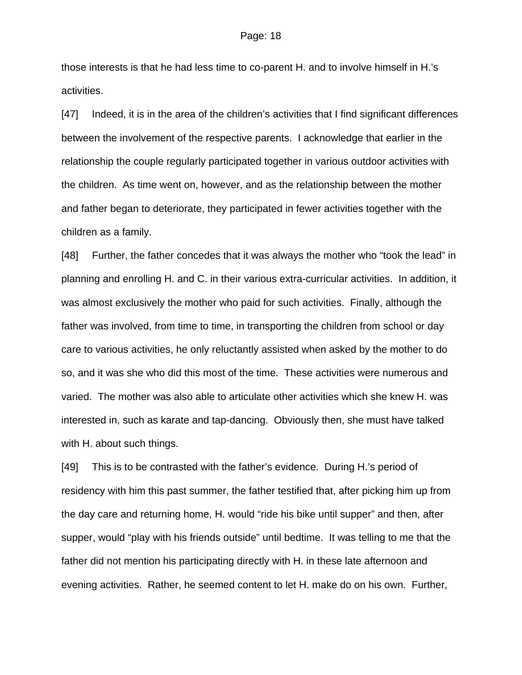those interests is that he had less time to co-parent H. and to involve himself in H.'s activities.

[47] Indeed, it is in the area of the children's activities that I find significant differences between the involvement of the respective parents. I acknowledge that earlier in the relationship the couple regularly participated together in various outdoor activities with the children. As time went on, however, and as the relationship between the mother and father began to deteriorate, they participated in fewer activities together with the children as a family.

[48] Further, the father concedes that it was always the mother who "took the lead" in planning and enrolling H. and C. in their various extra-curricular activities. In addition, it was almost exclusively the mother who paid for such activities. Finally, although the father was involved, from time to time, in transporting the children from school or day care to various activities, he only reluctantly assisted when asked by the mother to do so, and it was she who did this most of the time. These activities were numerous and varied. The mother was also able to articulate other activities which she knew H. was interested in, such as karate and tap-dancing. Obviously then, she must have talked with H. about such things.

[49] This is to be contrasted with the father's evidence. During H.'s period of residency with him this past summer, the father testified that, after picking him up from the day care and returning home, H. would "ride his bike until supper" and then, after supper, would "play with his friends outside" until bedtime. It was telling to me that the father did not mention his participating directly with H. in these late afternoon and evening activities. Rather, he seemed content to let H. make do on his own. Further,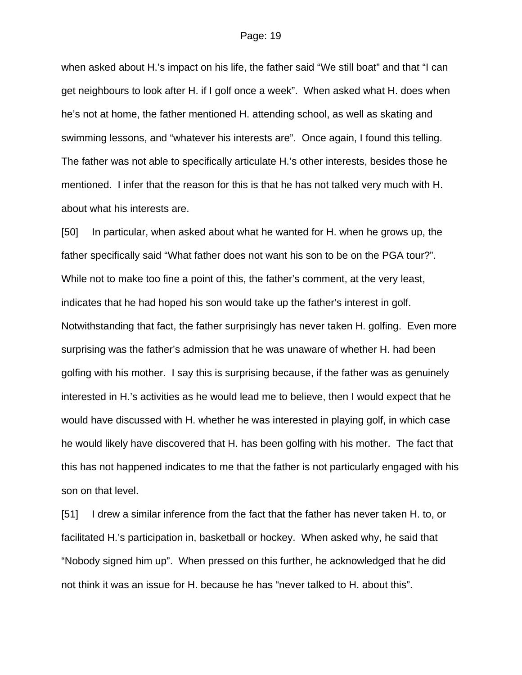when asked about H.'s impact on his life, the father said "We still boat" and that "I can get neighbours to look after H. if I golf once a week". When asked what H. does when he's not at home, the father mentioned H. attending school, as well as skating and swimming lessons, and "whatever his interests are". Once again, I found this telling. The father was not able to specifically articulate H.'s other interests, besides those he mentioned. I infer that the reason for this is that he has not talked very much with H. about what his interests are.

[50] In particular, when asked about what he wanted for H. when he grows up, the father specifically said "What father does not want his son to be on the PGA tour?". While not to make too fine a point of this, the father's comment, at the very least, indicates that he had hoped his son would take up the father's interest in golf. Notwithstanding that fact, the father surprisingly has never taken H. golfing. Even more surprising was the father's admission that he was unaware of whether H. had been golfing with his mother. I say this is surprising because, if the father was as genuinely interested in H.'s activities as he would lead me to believe, then I would expect that he would have discussed with H. whether he was interested in playing golf, in which case he would likely have discovered that H. has been golfing with his mother. The fact that this has not happened indicates to me that the father is not particularly engaged with his son on that level.

[51] I drew a similar inference from the fact that the father has never taken H. to, or facilitated H.'s participation in, basketball or hockey. When asked why, he said that "Nobody signed him up". When pressed on this further, he acknowledged that he did not think it was an issue for H. because he has "never talked to H. about this".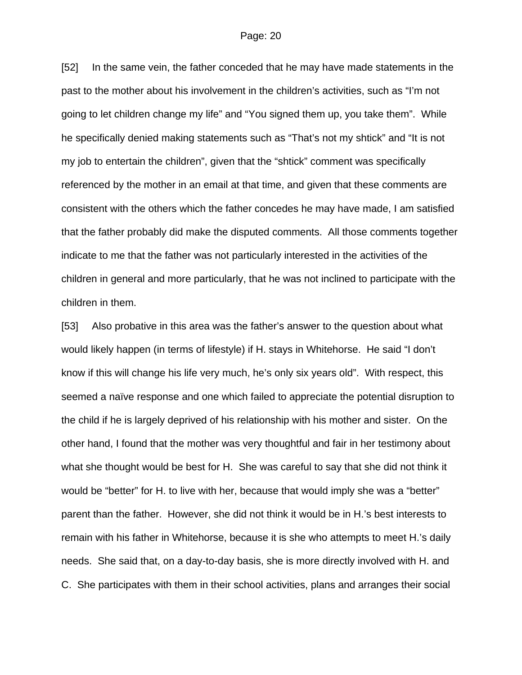[52] In the same vein, the father conceded that he may have made statements in the past to the mother about his involvement in the children's activities, such as "I'm not going to let children change my life" and "You signed them up, you take them". While he specifically denied making statements such as "That's not my shtick" and "It is not my job to entertain the children", given that the "shtick" comment was specifically referenced by the mother in an email at that time, and given that these comments are consistent with the others which the father concedes he may have made, I am satisfied that the father probably did make the disputed comments. All those comments together indicate to me that the father was not particularly interested in the activities of the children in general and more particularly, that he was not inclined to participate with the children in them.

[53] Also probative in this area was the father's answer to the question about what would likely happen (in terms of lifestyle) if H. stays in Whitehorse. He said "I don't know if this will change his life very much, he's only six years old". With respect, this seemed a naïve response and one which failed to appreciate the potential disruption to the child if he is largely deprived of his relationship with his mother and sister. On the other hand, I found that the mother was very thoughtful and fair in her testimony about what she thought would be best for H. She was careful to say that she did not think it would be "better" for H. to live with her, because that would imply she was a "better" parent than the father. However, she did not think it would be in H.'s best interests to remain with his father in Whitehorse, because it is she who attempts to meet H.'s daily needs. She said that, on a day-to-day basis, she is more directly involved with H. and C. She participates with them in their school activities, plans and arranges their social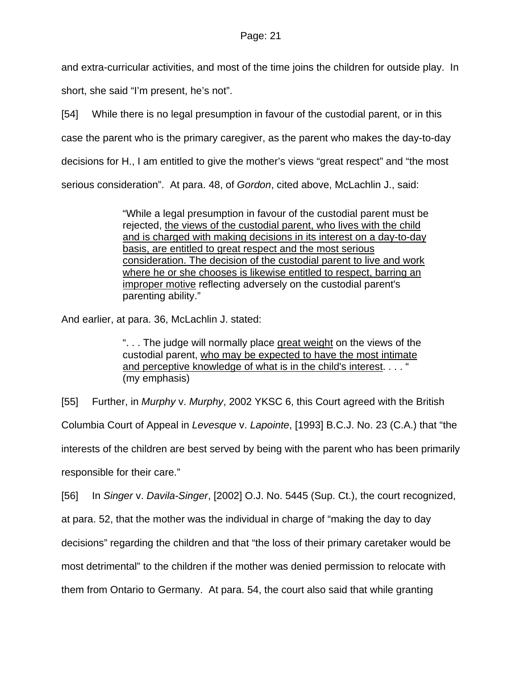and extra-curricular activities, and most of the time joins the children for outside play. In

short, she said "I'm present, he's not".

[54] While there is no legal presumption in favour of the custodial parent, or in this

case the parent who is the primary caregiver, as the parent who makes the day-to-day

decisions for H., I am entitled to give the mother's views "great respect" and "the most

serious consideration". At para. 48, of *Gordon*, cited above, McLachlin J., said:

"While a legal presumption in favour of the custodial parent must be rejected, the views of the custodial parent, who lives with the child and is charged with making decisions in its interest on a day-to-day basis, are entitled to great respect and the most serious consideration. The decision of the custodial parent to live and work where he or she chooses is likewise entitled to respect, barring an improper motive reflecting adversely on the custodial parent's parenting ability."

And earlier, at para. 36, McLachlin J. stated:

". . . The judge will normally place great weight on the views of the custodial parent, who may be expected to have the most intimate and perceptive knowledge of what is in the child's interest...." (my emphasis)

[55] Further, in *Murphy* v. *Murphy*, 2002 YKSC 6, this Court agreed with the British

Columbia Court of Appeal in *Levesque* v. *Lapointe*, [1993] B.C.J. No. 23 (C.A.) that "the

interests of the children are best served by being with the parent who has been primarily

responsible for their care."

[56] In *Singer* v. *Davila-Singer*, [2002] O.J. No. 5445 (Sup. Ct.), the court recognized,

at para. 52, that the mother was the individual in charge of "making the day to day

decisions" regarding the children and that "the loss of their primary caretaker would be

most detrimental" to the children if the mother was denied permission to relocate with

them from Ontario to Germany. At para. 54, the court also said that while granting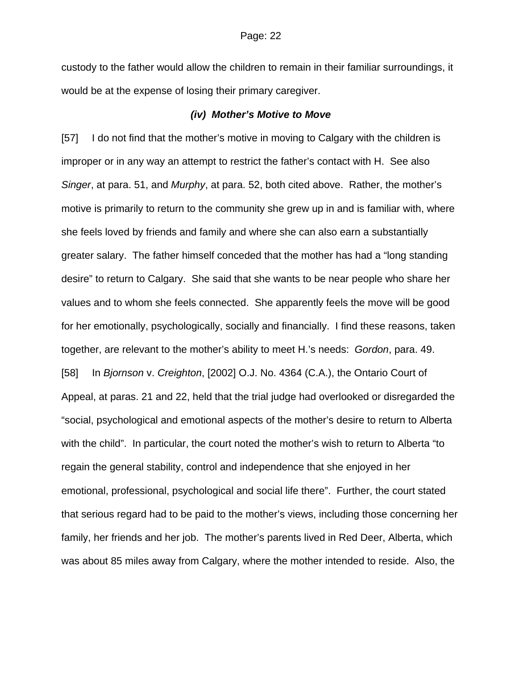custody to the father would allow the children to remain in their familiar surroundings, it would be at the expense of losing their primary caregiver.

### *(iv) Mother's Motive to Move*

[57] I do not find that the mother's motive in moving to Calgary with the children is improper or in any way an attempt to restrict the father's contact with H. See also *Singer*, at para. 51, and *Murphy*, at para. 52, both cited above. Rather, the mother's motive is primarily to return to the community she grew up in and is familiar with, where she feels loved by friends and family and where she can also earn a substantially greater salary. The father himself conceded that the mother has had a "long standing desire" to return to Calgary. She said that she wants to be near people who share her values and to whom she feels connected. She apparently feels the move will be good for her emotionally, psychologically, socially and financially. I find these reasons, taken together, are relevant to the mother's ability to meet H.'s needs: *Gordon*, para. 49. [58] In *Bjornson* v. *Creighton*, [2002] O.J. No. 4364 (C.A.), the Ontario Court of Appeal, at paras. 21 and 22, held that the trial judge had overlooked or disregarded the "social, psychological and emotional aspects of the mother's desire to return to Alberta with the child". In particular, the court noted the mother's wish to return to Alberta "to regain the general stability, control and independence that she enjoyed in her emotional, professional, psychological and social life there". Further, the court stated that serious regard had to be paid to the mother's views, including those concerning her family, her friends and her job. The mother's parents lived in Red Deer, Alberta, which was about 85 miles away from Calgary, where the mother intended to reside. Also, the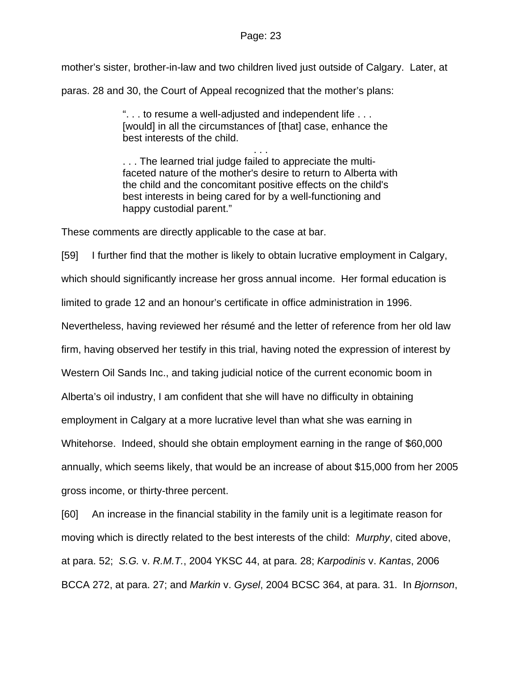mother's sister, brother-in-law and two children lived just outside of Calgary. Later, at paras. 28 and 30, the Court of Appeal recognized that the mother's plans:

> ". . . to resume a well-adjusted and independent life . . . [would] in all the circumstances of [that] case, enhance the best interests of the child.

. . . . . . The learned trial judge failed to appreciate the multifaceted nature of the mother's desire to return to Alberta with the child and the concomitant positive effects on the child's best interests in being cared for by a well-functioning and happy custodial parent."

These comments are directly applicable to the case at bar.

[59] I further find that the mother is likely to obtain lucrative employment in Calgary, which should significantly increase her gross annual income. Her formal education is limited to grade 12 and an honour's certificate in office administration in 1996. Nevertheless, having reviewed her résumé and the letter of reference from her old law firm, having observed her testify in this trial, having noted the expression of interest by Western Oil Sands Inc., and taking judicial notice of the current economic boom in Alberta's oil industry, I am confident that she will have no difficulty in obtaining employment in Calgary at a more lucrative level than what she was earning in Whitehorse. Indeed, should she obtain employment earning in the range of \$60,000 annually, which seems likely, that would be an increase of about \$15,000 from her 2005 gross income, or thirty-three percent.

[60] An increase in the financial stability in the family unit is a legitimate reason for moving which is directly related to the best interests of the child: *Murphy*, cited above, at para. 52; *S.G.* v. *R.M.T.*, 2004 YKSC 44, at para. 28; *Karpodinis* v. *Kantas*, 2006 BCCA 272, at para. 27; and *Markin* v. *Gysel*, 2004 BCSC 364, at para. 31. In *Bjornson*,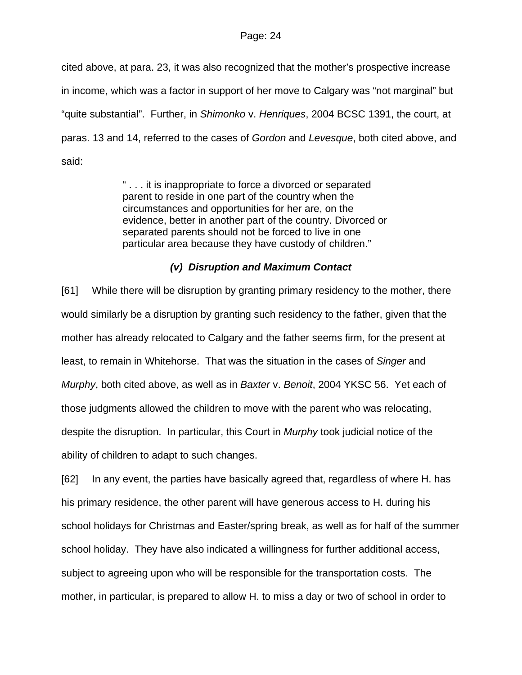cited above, at para. 23, it was also recognized that the mother's prospective increase in income, which was a factor in support of her move to Calgary was "not marginal" but "quite substantial". Further, in *Shimonko* v. *Henriques*, 2004 BCSC 1391, the court, at paras. 13 and 14, referred to the cases of *Gordon* and *Levesque*, both cited above, and said:

> " . . . it is inappropriate to force a divorced or separated parent to reside in one part of the country when the circumstances and opportunities for her are, on the evidence, better in another part of the country. Divorced or separated parents should not be forced to live in one particular area because they have custody of children."

## *(v) Disruption and Maximum Contact*

[61] While there will be disruption by granting primary residency to the mother, there would similarly be a disruption by granting such residency to the father, given that the mother has already relocated to Calgary and the father seems firm, for the present at least, to remain in Whitehorse. That was the situation in the cases of *Singer* and *Murphy*, both cited above, as well as in *Baxter* v. *Benoit*, 2004 YKSC 56. Yet each of those judgments allowed the children to move with the parent who was relocating, despite the disruption. In particular, this Court in *Murphy* took judicial notice of the ability of children to adapt to such changes.

[62] In any event, the parties have basically agreed that, regardless of where H. has his primary residence, the other parent will have generous access to H. during his school holidays for Christmas and Easter/spring break, as well as for half of the summer school holiday. They have also indicated a willingness for further additional access, subject to agreeing upon who will be responsible for the transportation costs. The mother, in particular, is prepared to allow H. to miss a day or two of school in order to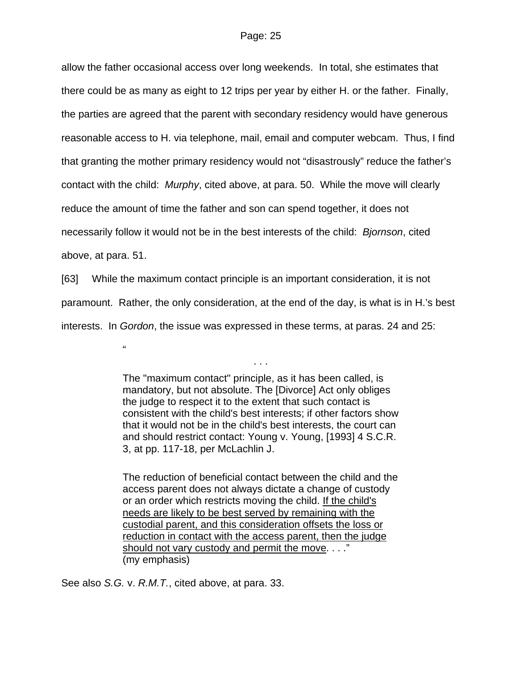allow the father occasional access over long weekends. In total, she estimates that there could be as many as eight to 12 trips per year by either H. or the father. Finally, the parties are agreed that the parent with secondary residency would have generous reasonable access to H. via telephone, mail, email and computer webcam. Thus, I find that granting the mother primary residency would not "disastrously" reduce the father's contact with the child: *Murphy*, cited above, at para. 50. While the move will clearly reduce the amount of time the father and son can spend together, it does not necessarily follow it would not be in the best interests of the child: *Bjornson*, cited above, at para. 51.

[63] While the maximum contact principle is an important consideration, it is not paramount. Rather, the only consideration, at the end of the day, is what is in H.'s best interests. In *Gordon*, the issue was expressed in these terms, at paras. 24 and 25:

 $^{\prime}$ 

The "maximum contact" principle, as it has been called, is mandatory, but not absolute. The [Divorce] Act only obliges the judge to respect it to the extent that such contact is consistent with the child's best interests; if other factors show that it would not be in the child's best interests, the court can and should restrict contact: Young v. Young, [1993] 4 S.C.R. 3, at pp. 117-18, per McLachlin J.

. . .

The reduction of beneficial contact between the child and the access parent does not always dictate a change of custody or an order which restricts moving the child. If the child's needs are likely to be best served by remaining with the custodial parent, and this consideration offsets the loss or reduction in contact with the access parent, then the judge should not vary custody and permit the move. . . ." (my emphasis)

See also *S.G.* v. *R.M.T.*, cited above, at para. 33.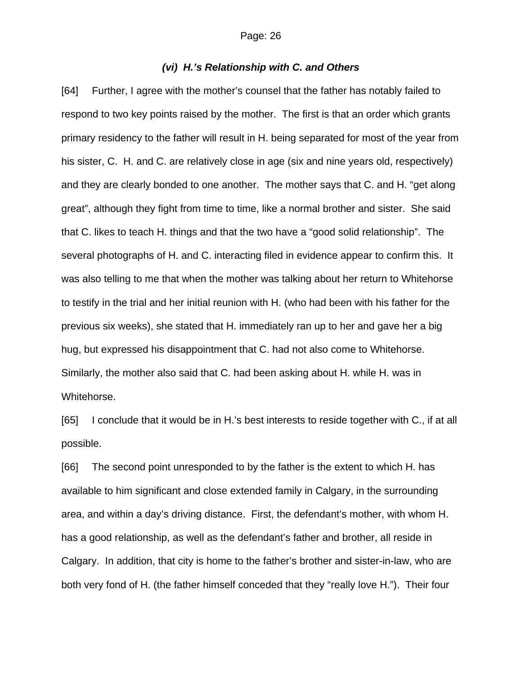## *(vi) H.'s Relationship with C. and Others*

[64] Further, I agree with the mother's counsel that the father has notably failed to respond to two key points raised by the mother. The first is that an order which grants primary residency to the father will result in H. being separated for most of the year from his sister, C. H. and C. are relatively close in age (six and nine years old, respectively) and they are clearly bonded to one another. The mother says that C. and H. "get along great", although they fight from time to time, like a normal brother and sister. She said that C. likes to teach H. things and that the two have a "good solid relationship". The several photographs of H. and C. interacting filed in evidence appear to confirm this. It was also telling to me that when the mother was talking about her return to Whitehorse to testify in the trial and her initial reunion with H. (who had been with his father for the previous six weeks), she stated that H. immediately ran up to her and gave her a big hug, but expressed his disappointment that C. had not also come to Whitehorse. Similarly, the mother also said that C. had been asking about H. while H. was in Whitehorse.

[65] I conclude that it would be in H.'s best interests to reside together with C., if at all possible.

[66] The second point unresponded to by the father is the extent to which H. has available to him significant and close extended family in Calgary, in the surrounding area, and within a day's driving distance. First, the defendant's mother, with whom H. has a good relationship, as well as the defendant's father and brother, all reside in Calgary. In addition, that city is home to the father's brother and sister-in-law, who are both very fond of H. (the father himself conceded that they "really love H."). Their four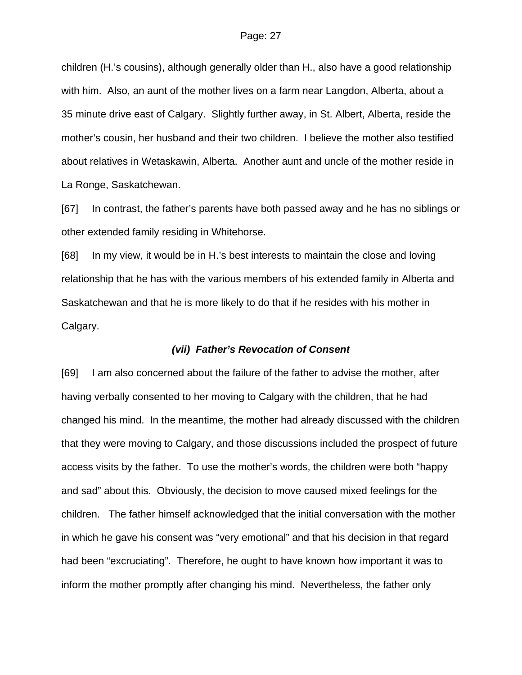children (H.'s cousins), although generally older than H., also have a good relationship with him. Also, an aunt of the mother lives on a farm near Langdon, Alberta, about a 35 minute drive east of Calgary. Slightly further away, in St. Albert, Alberta, reside the mother's cousin, her husband and their two children. I believe the mother also testified about relatives in Wetaskawin, Alberta. Another aunt and uncle of the mother reside in La Ronge, Saskatchewan.

[67] In contrast, the father's parents have both passed away and he has no siblings or other extended family residing in Whitehorse.

[68] In my view, it would be in H.'s best interests to maintain the close and loving relationship that he has with the various members of his extended family in Alberta and Saskatchewan and that he is more likely to do that if he resides with his mother in Calgary.

## *(vii) Father's Revocation of Consent*

[69] I am also concerned about the failure of the father to advise the mother, after having verbally consented to her moving to Calgary with the children, that he had changed his mind. In the meantime, the mother had already discussed with the children that they were moving to Calgary, and those discussions included the prospect of future access visits by the father. To use the mother's words, the children were both "happy and sad" about this. Obviously, the decision to move caused mixed feelings for the children. The father himself acknowledged that the initial conversation with the mother in which he gave his consent was "very emotional" and that his decision in that regard had been "excruciating". Therefore, he ought to have known how important it was to inform the mother promptly after changing his mind. Nevertheless, the father only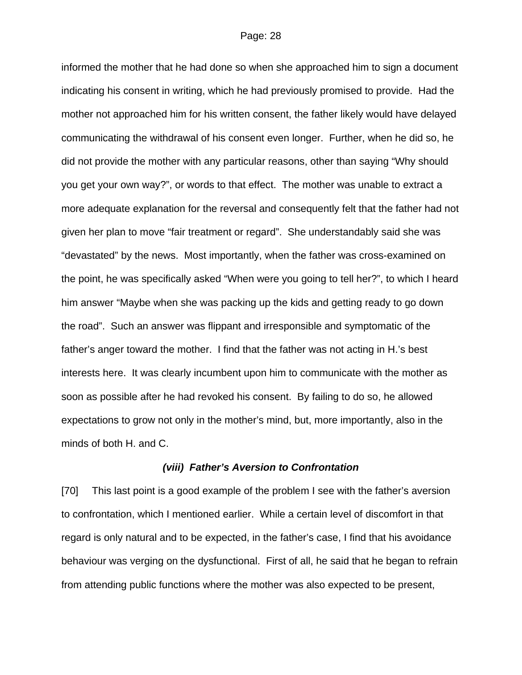informed the mother that he had done so when she approached him to sign a document indicating his consent in writing, which he had previously promised to provide. Had the mother not approached him for his written consent, the father likely would have delayed communicating the withdrawal of his consent even longer. Further, when he did so, he did not provide the mother with any particular reasons, other than saying "Why should you get your own way?", or words to that effect. The mother was unable to extract a more adequate explanation for the reversal and consequently felt that the father had not given her plan to move "fair treatment or regard". She understandably said she was "devastated" by the news. Most importantly, when the father was cross-examined on the point, he was specifically asked "When were you going to tell her?", to which I heard him answer "Maybe when she was packing up the kids and getting ready to go down the road". Such an answer was flippant and irresponsible and symptomatic of the father's anger toward the mother. I find that the father was not acting in H.'s best interests here. It was clearly incumbent upon him to communicate with the mother as soon as possible after he had revoked his consent. By failing to do so, he allowed expectations to grow not only in the mother's mind, but, more importantly, also in the minds of both H. and C.

#### *(viii) Father's Aversion to Confrontation*

[70] This last point is a good example of the problem I see with the father's aversion to confrontation, which I mentioned earlier. While a certain level of discomfort in that regard is only natural and to be expected, in the father's case, I find that his avoidance behaviour was verging on the dysfunctional. First of all, he said that he began to refrain from attending public functions where the mother was also expected to be present,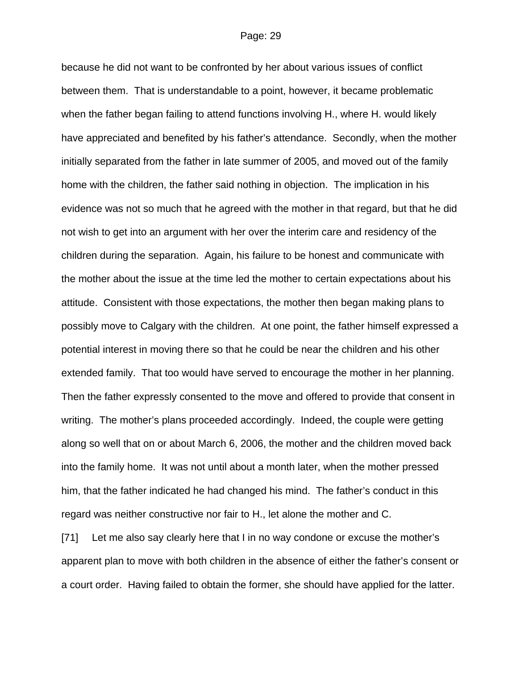because he did not want to be confronted by her about various issues of conflict between them. That is understandable to a point, however, it became problematic when the father began failing to attend functions involving H., where H. would likely have appreciated and benefited by his father's attendance. Secondly, when the mother initially separated from the father in late summer of 2005, and moved out of the family home with the children, the father said nothing in objection. The implication in his evidence was not so much that he agreed with the mother in that regard, but that he did not wish to get into an argument with her over the interim care and residency of the children during the separation. Again, his failure to be honest and communicate with the mother about the issue at the time led the mother to certain expectations about his attitude. Consistent with those expectations, the mother then began making plans to possibly move to Calgary with the children. At one point, the father himself expressed a potential interest in moving there so that he could be near the children and his other extended family. That too would have served to encourage the mother in her planning. Then the father expressly consented to the move and offered to provide that consent in writing. The mother's plans proceeded accordingly. Indeed, the couple were getting along so well that on or about March 6, 2006, the mother and the children moved back into the family home. It was not until about a month later, when the mother pressed him, that the father indicated he had changed his mind. The father's conduct in this regard was neither constructive nor fair to H., let alone the mother and C.

[71] Let me also say clearly here that I in no way condone or excuse the mother's apparent plan to move with both children in the absence of either the father's consent or a court order. Having failed to obtain the former, she should have applied for the latter.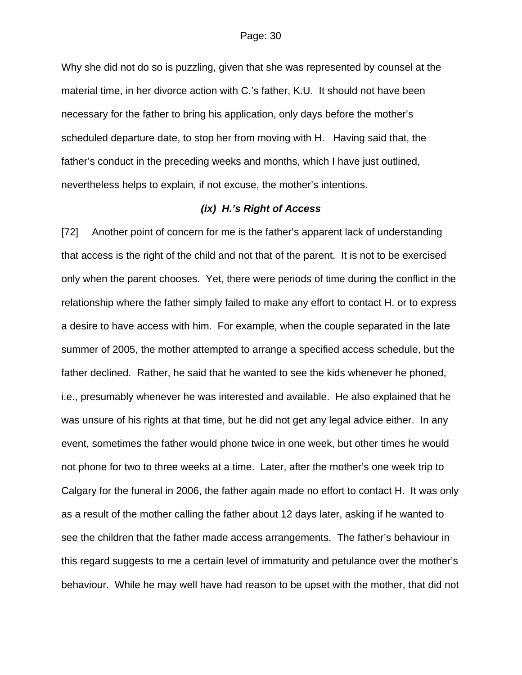Why she did not do so is puzzling, given that she was represented by counsel at the material time, in her divorce action with C.'s father, K.U. It should not have been necessary for the father to bring his application, only days before the mother's scheduled departure date, to stop her from moving with H. Having said that, the father's conduct in the preceding weeks and months, which I have just outlined, nevertheless helps to explain, if not excuse, the mother's intentions.

## *(ix) H.'s Right of Access*

[72] Another point of concern for me is the father's apparent lack of understanding that access is the right of the child and not that of the parent. It is not to be exercised only when the parent chooses. Yet, there were periods of time during the conflict in the relationship where the father simply failed to make any effort to contact H. or to express a desire to have access with him. For example, when the couple separated in the late summer of 2005, the mother attempted to arrange a specified access schedule, but the father declined. Rather, he said that he wanted to see the kids whenever he phoned, i.e., presumably whenever he was interested and available. He also explained that he was unsure of his rights at that time, but he did not get any legal advice either. In any event, sometimes the father would phone twice in one week, but other times he would not phone for two to three weeks at a time. Later, after the mother's one week trip to Calgary for the funeral in 2006, the father again made no effort to contact H. It was only as a result of the mother calling the father about 12 days later, asking if he wanted to see the children that the father made access arrangements. The father's behaviour in this regard suggests to me a certain level of immaturity and petulance over the mother's behaviour. While he may well have had reason to be upset with the mother, that did not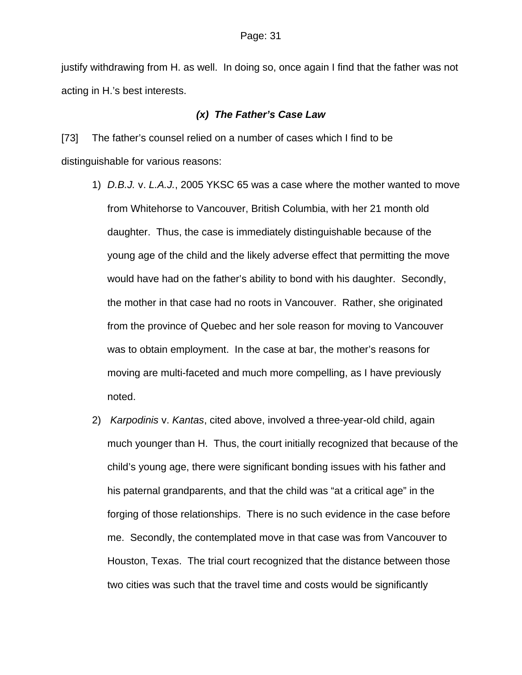justify withdrawing from H. as well. In doing so, once again I find that the father was not acting in H.'s best interests.

## *(x) The Father's Case Law*

[73] The father's counsel relied on a number of cases which I find to be distinguishable for various reasons:

- 1) *D.B.J.* v. *L.A.J.*, 2005 YKSC 65 was a case where the mother wanted to move from Whitehorse to Vancouver, British Columbia, with her 21 month old daughter. Thus, the case is immediately distinguishable because of the young age of the child and the likely adverse effect that permitting the move would have had on the father's ability to bond with his daughter. Secondly, the mother in that case had no roots in Vancouver. Rather, she originated from the province of Quebec and her sole reason for moving to Vancouver was to obtain employment. In the case at bar, the mother's reasons for moving are multi-faceted and much more compelling, as I have previously noted.
- 2) *Karpodinis* v. *Kantas*, cited above, involved a three-year-old child, again much younger than H. Thus, the court initially recognized that because of the child's young age, there were significant bonding issues with his father and his paternal grandparents, and that the child was "at a critical age" in the forging of those relationships. There is no such evidence in the case before me. Secondly, the contemplated move in that case was from Vancouver to Houston, Texas. The trial court recognized that the distance between those two cities was such that the travel time and costs would be significantly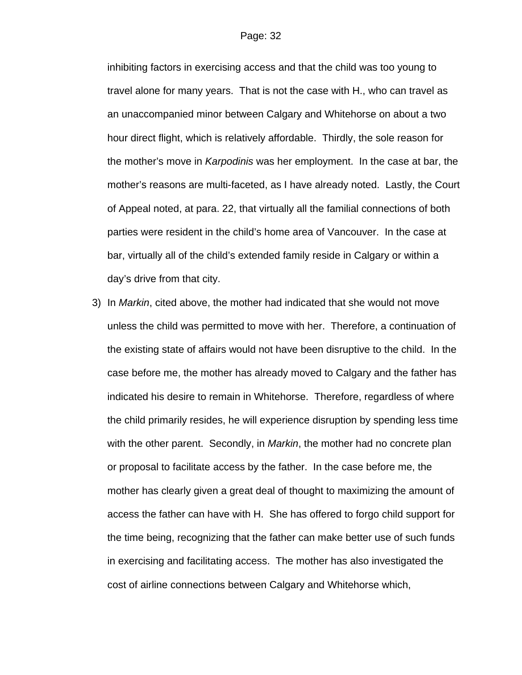inhibiting factors in exercising access and that the child was too young to travel alone for many years. That is not the case with H., who can travel as an unaccompanied minor between Calgary and Whitehorse on about a two hour direct flight, which is relatively affordable. Thirdly, the sole reason for the mother's move in *Karpodinis* was her employment. In the case at bar, the mother's reasons are multi-faceted, as I have already noted. Lastly, the Court of Appeal noted, at para. 22, that virtually all the familial connections of both parties were resident in the child's home area of Vancouver. In the case at bar, virtually all of the child's extended family reside in Calgary or within a day's drive from that city.

3) In *Markin*, cited above, the mother had indicated that she would not move unless the child was permitted to move with her. Therefore, a continuation of the existing state of affairs would not have been disruptive to the child. In the case before me, the mother has already moved to Calgary and the father has indicated his desire to remain in Whitehorse. Therefore, regardless of where the child primarily resides, he will experience disruption by spending less time with the other parent. Secondly, in *Markin*, the mother had no concrete plan or proposal to facilitate access by the father. In the case before me, the mother has clearly given a great deal of thought to maximizing the amount of access the father can have with H. She has offered to forgo child support for the time being, recognizing that the father can make better use of such funds in exercising and facilitating access. The mother has also investigated the cost of airline connections between Calgary and Whitehorse which,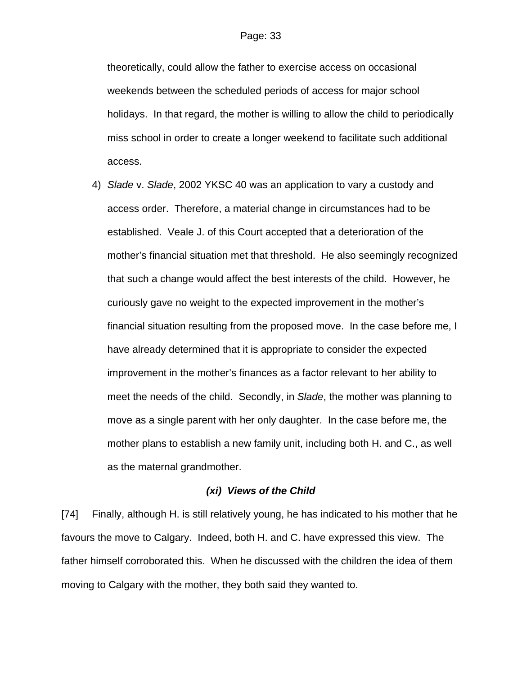theoretically, could allow the father to exercise access on occasional weekends between the scheduled periods of access for major school holidays. In that regard, the mother is willing to allow the child to periodically miss school in order to create a longer weekend to facilitate such additional access.

4) *Slade* v. *Slade*, 2002 YKSC 40 was an application to vary a custody and access order. Therefore, a material change in circumstances had to be established. Veale J. of this Court accepted that a deterioration of the mother's financial situation met that threshold. He also seemingly recognized that such a change would affect the best interests of the child. However, he curiously gave no weight to the expected improvement in the mother's financial situation resulting from the proposed move. In the case before me, I have already determined that it is appropriate to consider the expected improvement in the mother's finances as a factor relevant to her ability to meet the needs of the child. Secondly, in *Slade*, the mother was planning to move as a single parent with her only daughter. In the case before me, the mother plans to establish a new family unit, including both H. and C., as well as the maternal grandmother.

## *(xi) Views of the Child*

[74] Finally, although H. is still relatively young, he has indicated to his mother that he favours the move to Calgary. Indeed, both H. and C. have expressed this view. The father himself corroborated this. When he discussed with the children the idea of them moving to Calgary with the mother, they both said they wanted to.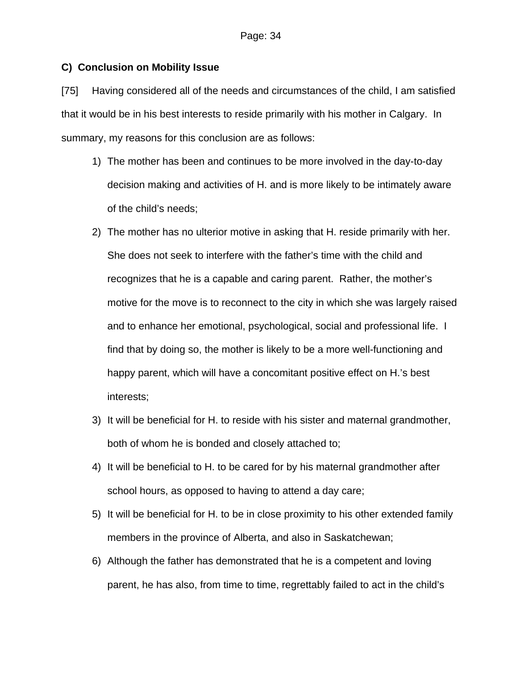## **C) Conclusion on Mobility Issue**

[75] Having considered all of the needs and circumstances of the child, I am satisfied that it would be in his best interests to reside primarily with his mother in Calgary. In summary, my reasons for this conclusion are as follows:

- 1) The mother has been and continues to be more involved in the day-to-day decision making and activities of H. and is more likely to be intimately aware of the child's needs;
- 2) The mother has no ulterior motive in asking that H. reside primarily with her. She does not seek to interfere with the father's time with the child and recognizes that he is a capable and caring parent. Rather, the mother's motive for the move is to reconnect to the city in which she was largely raised and to enhance her emotional, psychological, social and professional life. I find that by doing so, the mother is likely to be a more well-functioning and happy parent, which will have a concomitant positive effect on H.'s best interests;
- 3) It will be beneficial for H. to reside with his sister and maternal grandmother, both of whom he is bonded and closely attached to;
- 4) It will be beneficial to H. to be cared for by his maternal grandmother after school hours, as opposed to having to attend a day care;
- 5) It will be beneficial for H. to be in close proximity to his other extended family members in the province of Alberta, and also in Saskatchewan;
- 6) Although the father has demonstrated that he is a competent and loving parent, he has also, from time to time, regrettably failed to act in the child's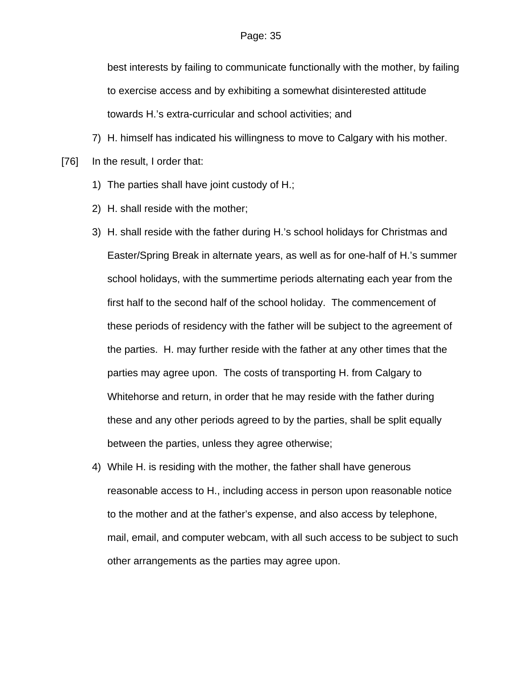best interests by failing to communicate functionally with the mother, by failing to exercise access and by exhibiting a somewhat disinterested attitude towards H.'s extra-curricular and school activities; and

7) H. himself has indicated his willingness to move to Calgary with his mother.

[76] In the result, I order that:

- 1) The parties shall have joint custody of H.;
- 2) H. shall reside with the mother;
- 3) H. shall reside with the father during H.'s school holidays for Christmas and Easter/Spring Break in alternate years, as well as for one-half of H.'s summer school holidays, with the summertime periods alternating each year from the first half to the second half of the school holiday. The commencement of these periods of residency with the father will be subject to the agreement of the parties. H. may further reside with the father at any other times that the parties may agree upon. The costs of transporting H. from Calgary to Whitehorse and return, in order that he may reside with the father during these and any other periods agreed to by the parties, shall be split equally between the parties, unless they agree otherwise;
- 4) While H. is residing with the mother, the father shall have generous reasonable access to H., including access in person upon reasonable notice to the mother and at the father's expense, and also access by telephone, mail, email, and computer webcam, with all such access to be subject to such other arrangements as the parties may agree upon.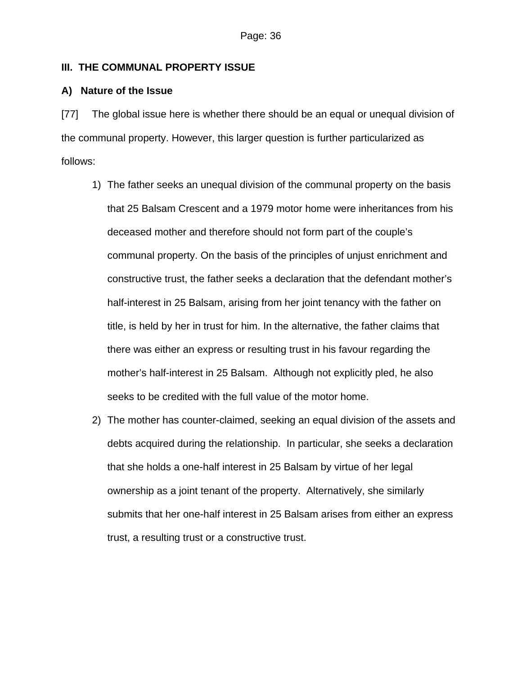## **III. THE COMMUNAL PROPERTY ISSUE**

## **A) Nature of the Issue**

[77] The global issue here is whether there should be an equal or unequal division of the communal property. However, this larger question is further particularized as follows:

- 1) The father seeks an unequal division of the communal property on the basis that 25 Balsam Crescent and a 1979 motor home were inheritances from his deceased mother and therefore should not form part of the couple's communal property. On the basis of the principles of unjust enrichment and constructive trust, the father seeks a declaration that the defendant mother's half-interest in 25 Balsam, arising from her joint tenancy with the father on title, is held by her in trust for him. In the alternative, the father claims that there was either an express or resulting trust in his favour regarding the mother's half-interest in 25 Balsam. Although not explicitly pled, he also seeks to be credited with the full value of the motor home.
- 2) The mother has counter-claimed, seeking an equal division of the assets and debts acquired during the relationship. In particular, she seeks a declaration that she holds a one-half interest in 25 Balsam by virtue of her legal ownership as a joint tenant of the property. Alternatively, she similarly submits that her one-half interest in 25 Balsam arises from either an express trust, a resulting trust or a constructive trust.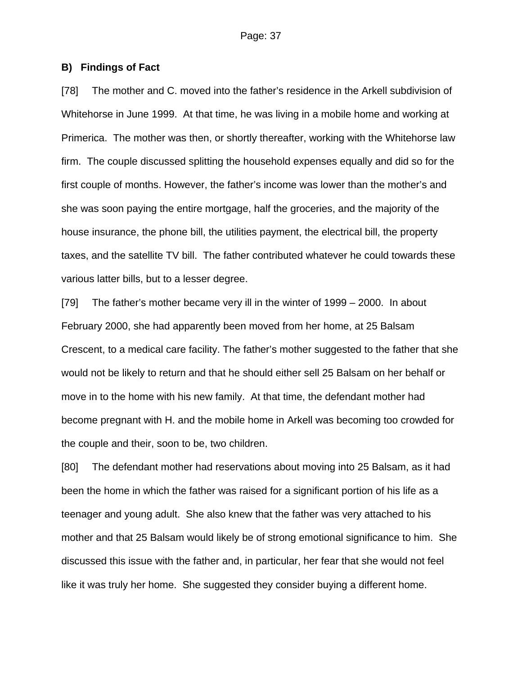## **B) Findings of Fact**

[78] The mother and C. moved into the father's residence in the Arkell subdivision of Whitehorse in June 1999. At that time, he was living in a mobile home and working at Primerica. The mother was then, or shortly thereafter, working with the Whitehorse law firm. The couple discussed splitting the household expenses equally and did so for the first couple of months. However, the father's income was lower than the mother's and she was soon paying the entire mortgage, half the groceries, and the majority of the house insurance, the phone bill, the utilities payment, the electrical bill, the property taxes, and the satellite TV bill. The father contributed whatever he could towards these various latter bills, but to a lesser degree.

[79] The father's mother became very ill in the winter of 1999 – 2000. In about February 2000, she had apparently been moved from her home, at 25 Balsam Crescent, to a medical care facility. The father's mother suggested to the father that she would not be likely to return and that he should either sell 25 Balsam on her behalf or move in to the home with his new family. At that time, the defendant mother had become pregnant with H. and the mobile home in Arkell was becoming too crowded for the couple and their, soon to be, two children.

[80] The defendant mother had reservations about moving into 25 Balsam, as it had been the home in which the father was raised for a significant portion of his life as a teenager and young adult. She also knew that the father was very attached to his mother and that 25 Balsam would likely be of strong emotional significance to him. She discussed this issue with the father and, in particular, her fear that she would not feel like it was truly her home. She suggested they consider buying a different home.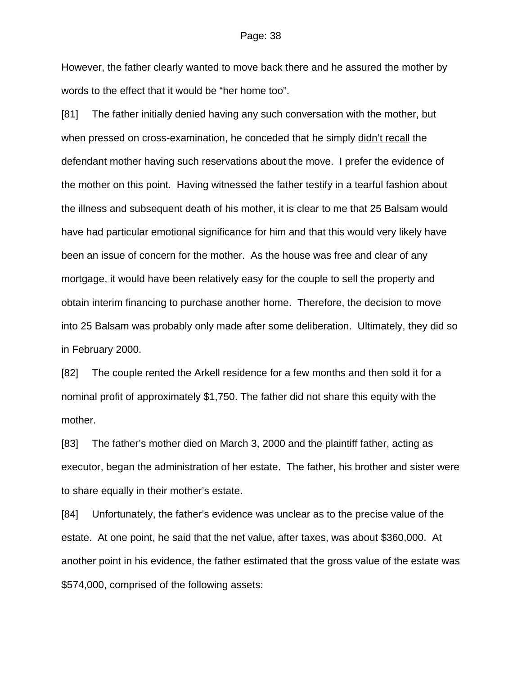However, the father clearly wanted to move back there and he assured the mother by words to the effect that it would be "her home too".

[81] The father initially denied having any such conversation with the mother, but when pressed on cross-examination, he conceded that he simply didn't recall the defendant mother having such reservations about the move. I prefer the evidence of the mother on this point. Having witnessed the father testify in a tearful fashion about the illness and subsequent death of his mother, it is clear to me that 25 Balsam would have had particular emotional significance for him and that this would very likely have been an issue of concern for the mother. As the house was free and clear of any mortgage, it would have been relatively easy for the couple to sell the property and obtain interim financing to purchase another home. Therefore, the decision to move into 25 Balsam was probably only made after some deliberation. Ultimately, they did so in February 2000.

[82] The couple rented the Arkell residence for a few months and then sold it for a nominal profit of approximately \$1,750. The father did not share this equity with the mother.

[83] The father's mother died on March 3, 2000 and the plaintiff father, acting as executor, began the administration of her estate. The father, his brother and sister were to share equally in their mother's estate.

[84] Unfortunately, the father's evidence was unclear as to the precise value of the estate. At one point, he said that the net value, after taxes, was about \$360,000. At another point in his evidence, the father estimated that the gross value of the estate was \$574,000, comprised of the following assets: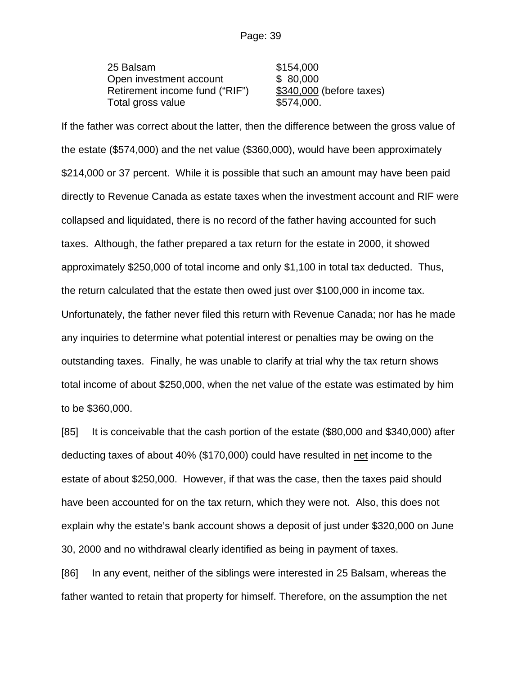25 Balsam \$154,000 Open investment account \$ 80,000 Retirement income fund ("RIF") \$340,000 (before taxes) Total gross value \$574,000.

If the father was correct about the latter, then the difference between the gross value of the estate (\$574,000) and the net value (\$360,000), would have been approximately \$214,000 or 37 percent. While it is possible that such an amount may have been paid directly to Revenue Canada as estate taxes when the investment account and RIF were collapsed and liquidated, there is no record of the father having accounted for such taxes. Although, the father prepared a tax return for the estate in 2000, it showed approximately \$250,000 of total income and only \$1,100 in total tax deducted. Thus, the return calculated that the estate then owed just over \$100,000 in income tax. Unfortunately, the father never filed this return with Revenue Canada; nor has he made any inquiries to determine what potential interest or penalties may be owing on the outstanding taxes. Finally, he was unable to clarify at trial why the tax return shows total income of about \$250,000, when the net value of the estate was estimated by him to be \$360,000.

[85] It is conceivable that the cash portion of the estate (\$80,000 and \$340,000) after deducting taxes of about 40% (\$170,000) could have resulted in net income to the estate of about \$250,000. However, if that was the case, then the taxes paid should have been accounted for on the tax return, which they were not. Also, this does not explain why the estate's bank account shows a deposit of just under \$320,000 on June 30, 2000 and no withdrawal clearly identified as being in payment of taxes.

[86] In any event, neither of the siblings were interested in 25 Balsam, whereas the father wanted to retain that property for himself. Therefore, on the assumption the net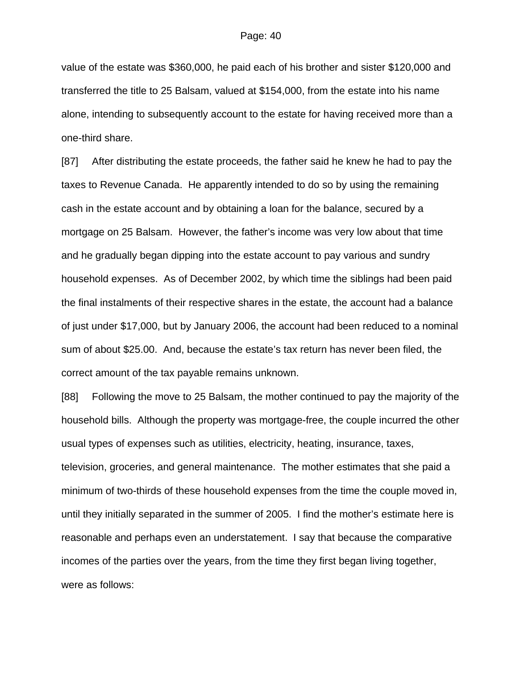value of the estate was \$360,000, he paid each of his brother and sister \$120,000 and transferred the title to 25 Balsam, valued at \$154,000, from the estate into his name alone, intending to subsequently account to the estate for having received more than a one-third share.

[87] After distributing the estate proceeds, the father said he knew he had to pay the taxes to Revenue Canada. He apparently intended to do so by using the remaining cash in the estate account and by obtaining a loan for the balance, secured by a mortgage on 25 Balsam. However, the father's income was very low about that time and he gradually began dipping into the estate account to pay various and sundry household expenses. As of December 2002, by which time the siblings had been paid the final instalments of their respective shares in the estate, the account had a balance of just under \$17,000, but by January 2006, the account had been reduced to a nominal sum of about \$25.00. And, because the estate's tax return has never been filed, the correct amount of the tax payable remains unknown.

[88] Following the move to 25 Balsam, the mother continued to pay the majority of the household bills. Although the property was mortgage-free, the couple incurred the other usual types of expenses such as utilities, electricity, heating, insurance, taxes, television, groceries, and general maintenance. The mother estimates that she paid a minimum of two-thirds of these household expenses from the time the couple moved in, until they initially separated in the summer of 2005. I find the mother's estimate here is reasonable and perhaps even an understatement. I say that because the comparative incomes of the parties over the years, from the time they first began living together, were as follows: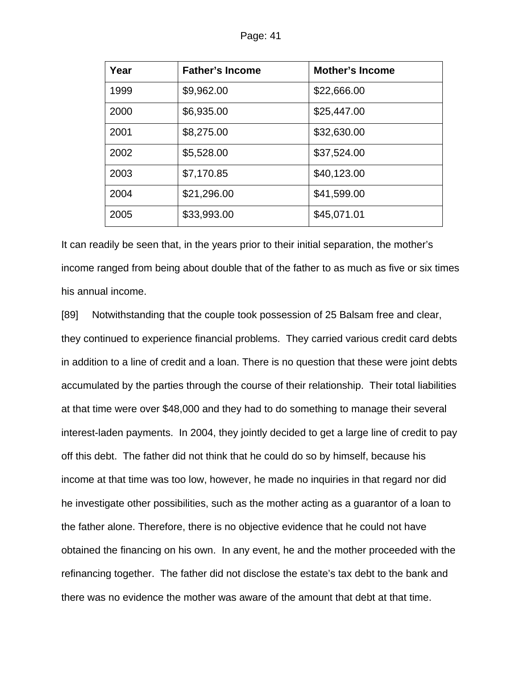| Year | <b>Father's Income</b> | <b>Mother's Income</b> |
|------|------------------------|------------------------|
| 1999 | \$9,962.00             | \$22,666.00            |
| 2000 | \$6,935.00             | \$25,447.00            |
| 2001 | \$8,275.00             | \$32,630.00            |
| 2002 | \$5,528.00             | \$37,524.00            |
| 2003 | \$7,170.85             | \$40,123.00            |
| 2004 | \$21,296.00            | \$41,599.00            |
| 2005 | \$33,993.00            | \$45,071.01            |

It can readily be seen that, in the years prior to their initial separation, the mother's income ranged from being about double that of the father to as much as five or six times his annual income.

[89] Notwithstanding that the couple took possession of 25 Balsam free and clear, they continued to experience financial problems. They carried various credit card debts in addition to a line of credit and a loan. There is no question that these were joint debts accumulated by the parties through the course of their relationship. Their total liabilities at that time were over \$48,000 and they had to do something to manage their several interest-laden payments. In 2004, they jointly decided to get a large line of credit to pay off this debt. The father did not think that he could do so by himself, because his income at that time was too low, however, he made no inquiries in that regard nor did he investigate other possibilities, such as the mother acting as a guarantor of a loan to the father alone. Therefore, there is no objective evidence that he could not have obtained the financing on his own. In any event, he and the mother proceeded with the refinancing together. The father did not disclose the estate's tax debt to the bank and there was no evidence the mother was aware of the amount that debt at that time.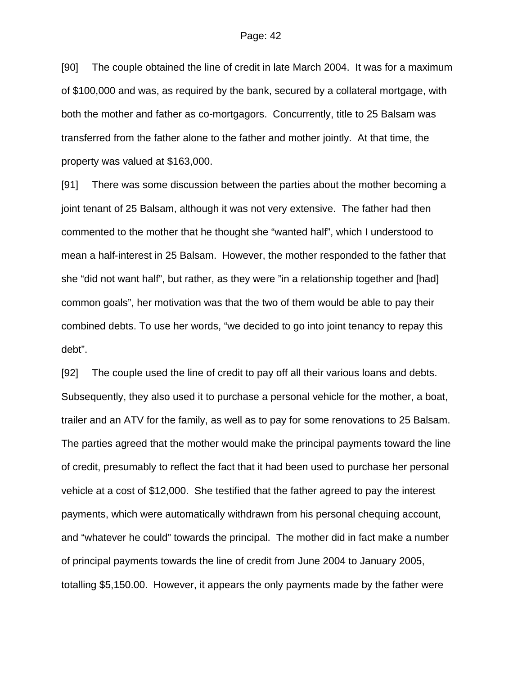[90] The couple obtained the line of credit in late March 2004. It was for a maximum of \$100,000 and was, as required by the bank, secured by a collateral mortgage, with both the mother and father as co-mortgagors. Concurrently, title to 25 Balsam was transferred from the father alone to the father and mother jointly. At that time, the property was valued at \$163,000.

[91] There was some discussion between the parties about the mother becoming a joint tenant of 25 Balsam, although it was not very extensive. The father had then commented to the mother that he thought she "wanted half", which I understood to mean a half-interest in 25 Balsam. However, the mother responded to the father that she "did not want half", but rather, as they were "in a relationship together and [had] common goals", her motivation was that the two of them would be able to pay their combined debts. To use her words, "we decided to go into joint tenancy to repay this debt".

[92] The couple used the line of credit to pay off all their various loans and debts. Subsequently, they also used it to purchase a personal vehicle for the mother, a boat, trailer and an ATV for the family, as well as to pay for some renovations to 25 Balsam. The parties agreed that the mother would make the principal payments toward the line of credit, presumably to reflect the fact that it had been used to purchase her personal vehicle at a cost of \$12,000. She testified that the father agreed to pay the interest payments, which were automatically withdrawn from his personal chequing account, and "whatever he could" towards the principal. The mother did in fact make a number of principal payments towards the line of credit from June 2004 to January 2005, totalling \$5,150.00. However, it appears the only payments made by the father were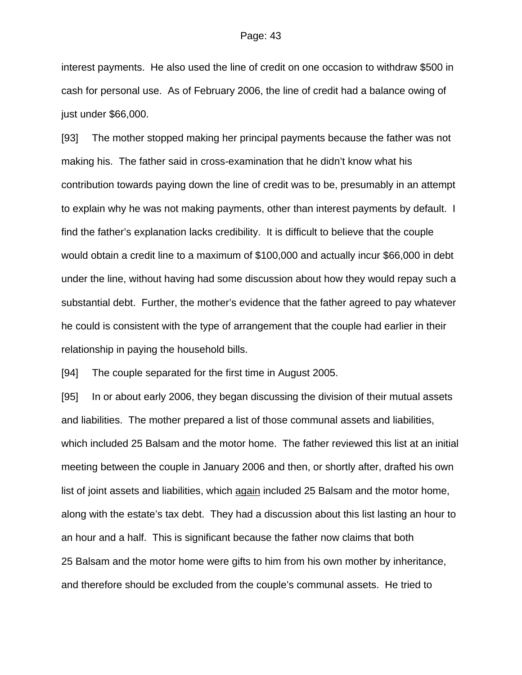interest payments. He also used the line of credit on one occasion to withdraw \$500 in cash for personal use. As of February 2006, the line of credit had a balance owing of just under \$66,000.

[93] The mother stopped making her principal payments because the father was not making his. The father said in cross-examination that he didn't know what his contribution towards paying down the line of credit was to be, presumably in an attempt to explain why he was not making payments, other than interest payments by default. I find the father's explanation lacks credibility. It is difficult to believe that the couple would obtain a credit line to a maximum of \$100,000 and actually incur \$66,000 in debt under the line, without having had some discussion about how they would repay such a substantial debt. Further, the mother's evidence that the father agreed to pay whatever he could is consistent with the type of arrangement that the couple had earlier in their relationship in paying the household bills.

[94] The couple separated for the first time in August 2005.

[95] In or about early 2006, they began discussing the division of their mutual assets and liabilities. The mother prepared a list of those communal assets and liabilities, which included 25 Balsam and the motor home. The father reviewed this list at an initial meeting between the couple in January 2006 and then, or shortly after, drafted his own list of joint assets and liabilities, which again included 25 Balsam and the motor home, along with the estate's tax debt. They had a discussion about this list lasting an hour to an hour and a half. This is significant because the father now claims that both 25 Balsam and the motor home were gifts to him from his own mother by inheritance, and therefore should be excluded from the couple's communal assets. He tried to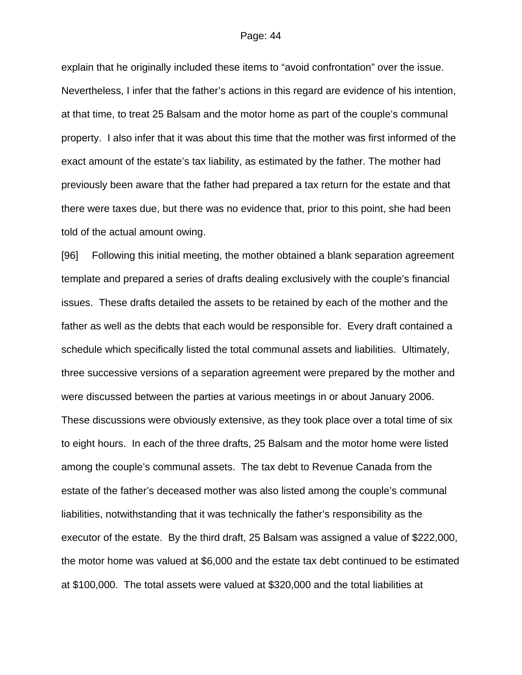explain that he originally included these items to "avoid confrontation" over the issue. Nevertheless, I infer that the father's actions in this regard are evidence of his intention, at that time, to treat 25 Balsam and the motor home as part of the couple's communal property. I also infer that it was about this time that the mother was first informed of the exact amount of the estate's tax liability, as estimated by the father. The mother had previously been aware that the father had prepared a tax return for the estate and that there were taxes due, but there was no evidence that, prior to this point, she had been told of the actual amount owing.

[96] Following this initial meeting, the mother obtained a blank separation agreement template and prepared a series of drafts dealing exclusively with the couple's financial issues. These drafts detailed the assets to be retained by each of the mother and the father as well as the debts that each would be responsible for. Every draft contained a schedule which specifically listed the total communal assets and liabilities. Ultimately, three successive versions of a separation agreement were prepared by the mother and were discussed between the parties at various meetings in or about January 2006. These discussions were obviously extensive, as they took place over a total time of six to eight hours. In each of the three drafts, 25 Balsam and the motor home were listed among the couple's communal assets. The tax debt to Revenue Canada from the estate of the father's deceased mother was also listed among the couple's communal liabilities, notwithstanding that it was technically the father's responsibility as the executor of the estate. By the third draft, 25 Balsam was assigned a value of \$222,000, the motor home was valued at \$6,000 and the estate tax debt continued to be estimated at \$100,000. The total assets were valued at \$320,000 and the total liabilities at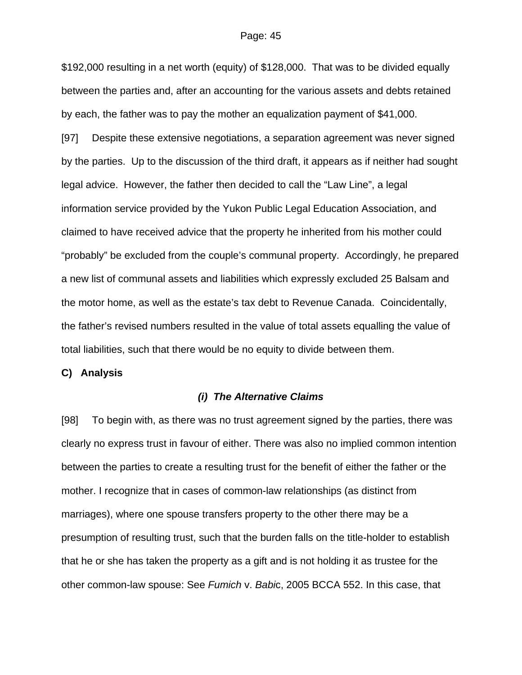\$192,000 resulting in a net worth (equity) of \$128,000. That was to be divided equally between the parties and, after an accounting for the various assets and debts retained by each, the father was to pay the mother an equalization payment of \$41,000.

[97] Despite these extensive negotiations, a separation agreement was never signed by the parties. Up to the discussion of the third draft, it appears as if neither had sought legal advice. However, the father then decided to call the "Law Line", a legal information service provided by the Yukon Public Legal Education Association, and claimed to have received advice that the property he inherited from his mother could "probably" be excluded from the couple's communal property. Accordingly, he prepared a new list of communal assets and liabilities which expressly excluded 25 Balsam and the motor home, as well as the estate's tax debt to Revenue Canada. Coincidentally, the father's revised numbers resulted in the value of total assets equalling the value of total liabilities, such that there would be no equity to divide between them.

**C) Analysis**

#### *(i) The Alternative Claims*

[98] To begin with, as there was no trust agreement signed by the parties, there was clearly no express trust in favour of either. There was also no implied common intention between the parties to create a resulting trust for the benefit of either the father or the mother. I recognize that in cases of common-law relationships (as distinct from marriages), where one spouse transfers property to the other there may be a presumption of resulting trust, such that the burden falls on the title-holder to establish that he or she has taken the property as a gift and is not holding it as trustee for the other common-law spouse: See *Fumich* v. *Babi*c, 2005 BCCA 552. In this case, that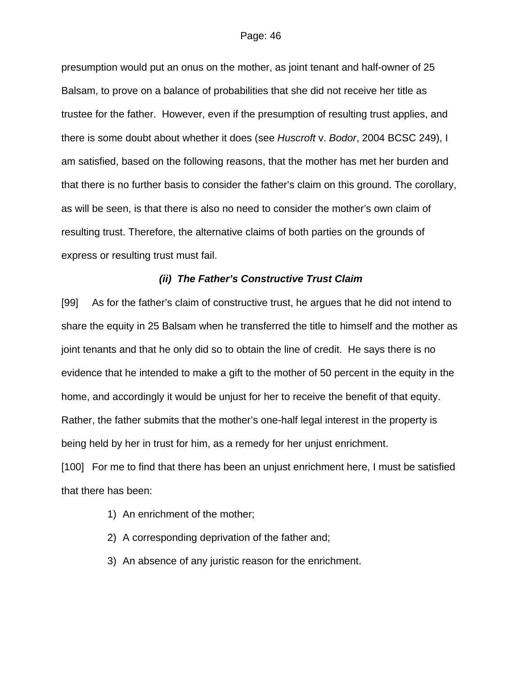presumption would put an onus on the mother, as joint tenant and half-owner of 25 Balsam, to prove on a balance of probabilities that she did not receive her title as trustee for the father. However, even if the presumption of resulting trust applies, and there is some doubt about whether it does (see *Huscroft* v. *Bodor*, 2004 BCSC 249), I am satisfied, based on the following reasons, that the mother has met her burden and that there is no further basis to consider the father's claim on this ground. The corollary, as will be seen, is that there is also no need to consider the mother's own claim of resulting trust. Therefore, the alternative claims of both parties on the grounds of express or resulting trust must fail.

## *(ii) The Father's Constructive Trust Claim*

[99] As for the father's claim of constructive trust, he argues that he did not intend to share the equity in 25 Balsam when he transferred the title to himself and the mother as joint tenants and that he only did so to obtain the line of credit. He says there is no evidence that he intended to make a gift to the mother of 50 percent in the equity in the home, and accordingly it would be unjust for her to receive the benefit of that equity. Rather, the father submits that the mother's one-half legal interest in the property is being held by her in trust for him, as a remedy for her unjust enrichment.

[100] For me to find that there has been an unjust enrichment here, I must be satisfied that there has been:

- 1) An enrichment of the mother;
- 2) A corresponding deprivation of the father and;
- 3) An absence of any juristic reason for the enrichment.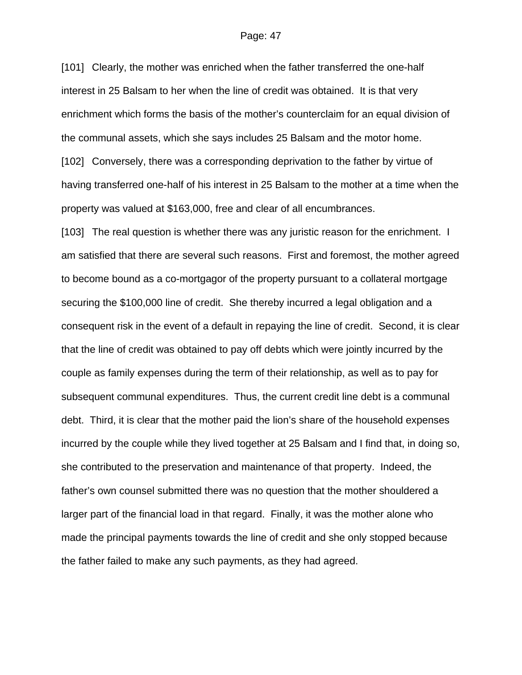[101] Clearly, the mother was enriched when the father transferred the one-half interest in 25 Balsam to her when the line of credit was obtained. It is that very enrichment which forms the basis of the mother's counterclaim for an equal division of the communal assets, which she says includes 25 Balsam and the motor home. [102] Conversely, there was a corresponding deprivation to the father by virtue of having transferred one-half of his interest in 25 Balsam to the mother at a time when the property was valued at \$163,000, free and clear of all encumbrances.

[103] The real question is whether there was any juristic reason for the enrichment. I am satisfied that there are several such reasons. First and foremost, the mother agreed to become bound as a co-mortgagor of the property pursuant to a collateral mortgage securing the \$100,000 line of credit. She thereby incurred a legal obligation and a consequent risk in the event of a default in repaying the line of credit. Second, it is clear that the line of credit was obtained to pay off debts which were jointly incurred by the couple as family expenses during the term of their relationship, as well as to pay for subsequent communal expenditures. Thus, the current credit line debt is a communal debt. Third, it is clear that the mother paid the lion's share of the household expenses incurred by the couple while they lived together at 25 Balsam and I find that, in doing so, she contributed to the preservation and maintenance of that property. Indeed, the father's own counsel submitted there was no question that the mother shouldered a larger part of the financial load in that regard. Finally, it was the mother alone who made the principal payments towards the line of credit and she only stopped because the father failed to make any such payments, as they had agreed.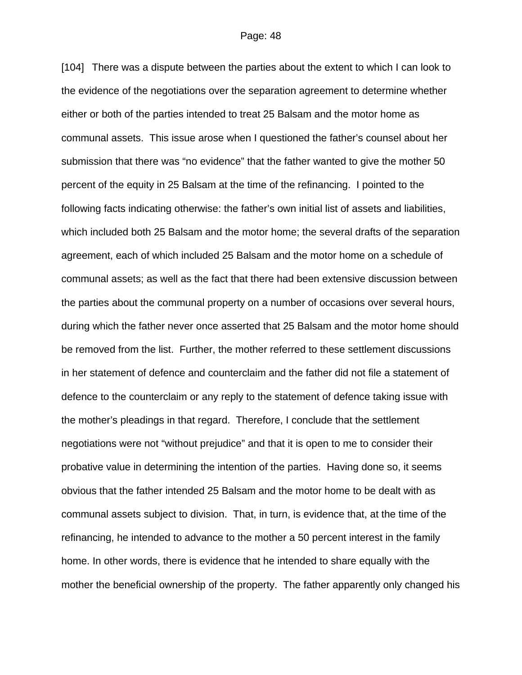[104] There was a dispute between the parties about the extent to which I can look to the evidence of the negotiations over the separation agreement to determine whether either or both of the parties intended to treat 25 Balsam and the motor home as communal assets. This issue arose when I questioned the father's counsel about her submission that there was "no evidence" that the father wanted to give the mother 50 percent of the equity in 25 Balsam at the time of the refinancing. I pointed to the following facts indicating otherwise: the father's own initial list of assets and liabilities, which included both 25 Balsam and the motor home; the several drafts of the separation agreement, each of which included 25 Balsam and the motor home on a schedule of communal assets; as well as the fact that there had been extensive discussion between the parties about the communal property on a number of occasions over several hours, during which the father never once asserted that 25 Balsam and the motor home should be removed from the list. Further, the mother referred to these settlement discussions in her statement of defence and counterclaim and the father did not file a statement of defence to the counterclaim or any reply to the statement of defence taking issue with the mother's pleadings in that regard. Therefore, I conclude that the settlement negotiations were not "without prejudice" and that it is open to me to consider their probative value in determining the intention of the parties. Having done so, it seems obvious that the father intended 25 Balsam and the motor home to be dealt with as communal assets subject to division. That, in turn, is evidence that, at the time of the refinancing, he intended to advance to the mother a 50 percent interest in the family home. In other words, there is evidence that he intended to share equally with the mother the beneficial ownership of the property. The father apparently only changed his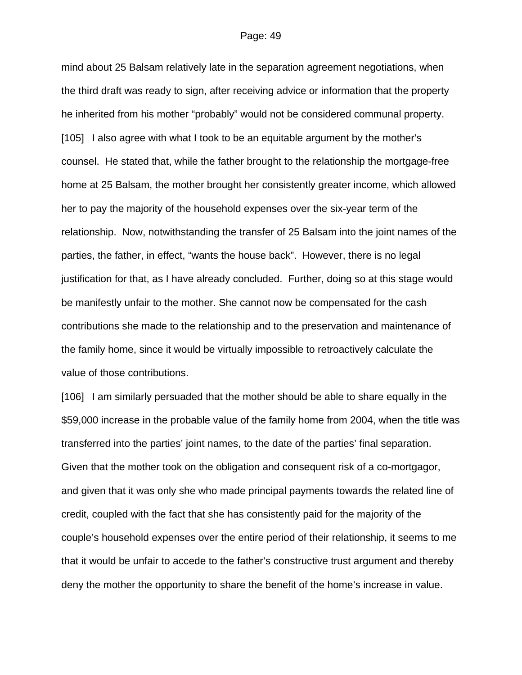mind about 25 Balsam relatively late in the separation agreement negotiations, when the third draft was ready to sign, after receiving advice or information that the property he inherited from his mother "probably" would not be considered communal property. [105] I also agree with what I took to be an equitable argument by the mother's counsel. He stated that, while the father brought to the relationship the mortgage-free home at 25 Balsam, the mother brought her consistently greater income, which allowed her to pay the majority of the household expenses over the six-year term of the relationship. Now, notwithstanding the transfer of 25 Balsam into the joint names of the parties, the father, in effect, "wants the house back". However, there is no legal justification for that, as I have already concluded. Further, doing so at this stage would be manifestly unfair to the mother. She cannot now be compensated for the cash contributions she made to the relationship and to the preservation and maintenance of the family home, since it would be virtually impossible to retroactively calculate the value of those contributions.

[106] I am similarly persuaded that the mother should be able to share equally in the \$59,000 increase in the probable value of the family home from 2004, when the title was transferred into the parties' joint names, to the date of the parties' final separation. Given that the mother took on the obligation and consequent risk of a co-mortgagor, and given that it was only she who made principal payments towards the related line of credit, coupled with the fact that she has consistently paid for the majority of the couple's household expenses over the entire period of their relationship, it seems to me that it would be unfair to accede to the father's constructive trust argument and thereby deny the mother the opportunity to share the benefit of the home's increase in value.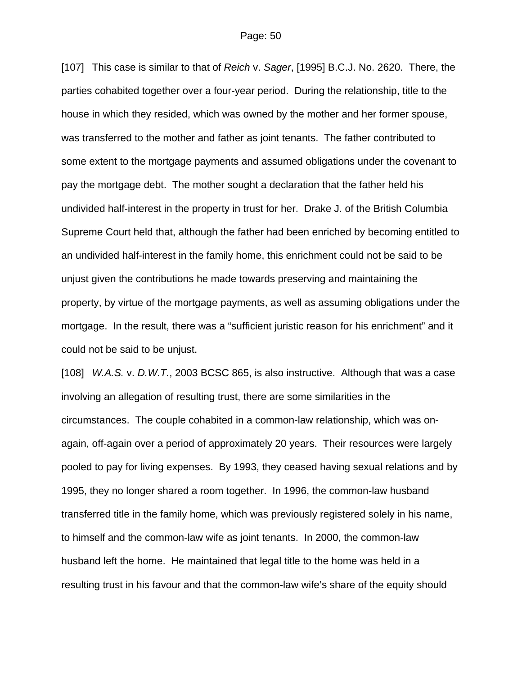[107] This case is similar to that of *Reich* v. *Sager*, [1995] B.C.J. No. 2620. There, the parties cohabited together over a four-year period. During the relationship, title to the house in which they resided, which was owned by the mother and her former spouse, was transferred to the mother and father as joint tenants. The father contributed to some extent to the mortgage payments and assumed obligations under the covenant to pay the mortgage debt. The mother sought a declaration that the father held his undivided half-interest in the property in trust for her. Drake J. of the British Columbia Supreme Court held that, although the father had been enriched by becoming entitled to an undivided half-interest in the family home, this enrichment could not be said to be unjust given the contributions he made towards preserving and maintaining the property, by virtue of the mortgage payments, as well as assuming obligations under the mortgage. In the result, there was a "sufficient juristic reason for his enrichment" and it could not be said to be unjust.

[108] *W.A.S.* v. *D.W.T.*, 2003 BCSC 865, is also instructive. Although that was a case involving an allegation of resulting trust, there are some similarities in the circumstances. The couple cohabited in a common-law relationship, which was onagain, off-again over a period of approximately 20 years. Their resources were largely pooled to pay for living expenses. By 1993, they ceased having sexual relations and by 1995, they no longer shared a room together. In 1996, the common-law husband transferred title in the family home, which was previously registered solely in his name, to himself and the common-law wife as joint tenants. In 2000, the common-law husband left the home. He maintained that legal title to the home was held in a resulting trust in his favour and that the common-law wife's share of the equity should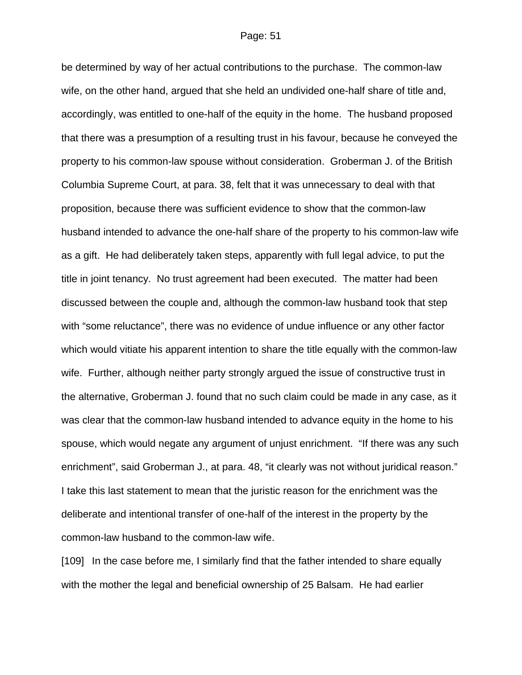be determined by way of her actual contributions to the purchase. The common-law wife, on the other hand, argued that she held an undivided one-half share of title and, accordingly, was entitled to one-half of the equity in the home. The husband proposed that there was a presumption of a resulting trust in his favour, because he conveyed the property to his common-law spouse without consideration. Groberman J. of the British Columbia Supreme Court, at para. 38, felt that it was unnecessary to deal with that proposition, because there was sufficient evidence to show that the common-law husband intended to advance the one-half share of the property to his common-law wife as a gift. He had deliberately taken steps, apparently with full legal advice, to put the title in joint tenancy. No trust agreement had been executed. The matter had been discussed between the couple and, although the common-law husband took that step with "some reluctance", there was no evidence of undue influence or any other factor which would vitiate his apparent intention to share the title equally with the common-law wife. Further, although neither party strongly argued the issue of constructive trust in the alternative, Groberman J. found that no such claim could be made in any case, as it was clear that the common-law husband intended to advance equity in the home to his spouse, which would negate any argument of unjust enrichment. "If there was any such enrichment", said Groberman J., at para. 48, "it clearly was not without juridical reason." I take this last statement to mean that the juristic reason for the enrichment was the deliberate and intentional transfer of one-half of the interest in the property by the common-law husband to the common-law wife.

[109] In the case before me, I similarly find that the father intended to share equally with the mother the legal and beneficial ownership of 25 Balsam. He had earlier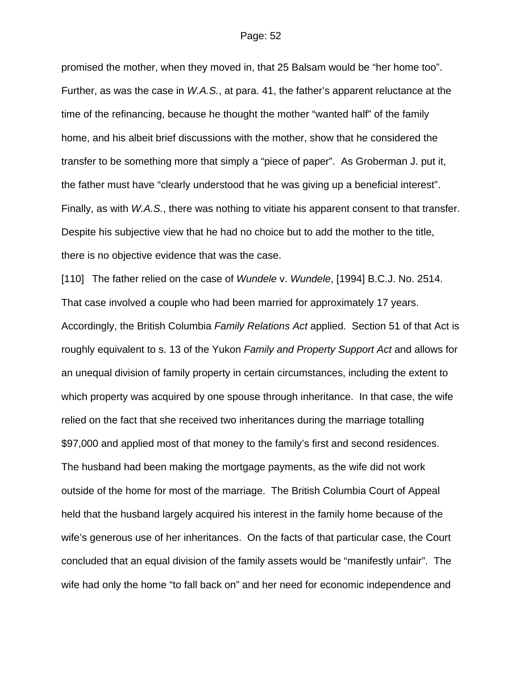promised the mother, when they moved in, that 25 Balsam would be "her home too". Further, as was the case in *W.A.S.*, at para. 41, the father's apparent reluctance at the time of the refinancing, because he thought the mother "wanted half" of the family home, and his albeit brief discussions with the mother, show that he considered the transfer to be something more that simply a "piece of paper". As Groberman J. put it, the father must have "clearly understood that he was giving up a beneficial interest". Finally, as with *W.A.S.*, there was nothing to vitiate his apparent consent to that transfer. Despite his subjective view that he had no choice but to add the mother to the title, there is no objective evidence that was the case.

[110] The father relied on the case of *Wundele* v. *Wundele*, [1994] B.C.J. No. 2514. That case involved a couple who had been married for approximately 17 years. Accordingly, the British Columbia *Family Relations Act* applied. Section 51 of that Act is roughly equivalent to s. 13 of the Yukon *Family and Property Support Act* and allows for an unequal division of family property in certain circumstances, including the extent to which property was acquired by one spouse through inheritance. In that case, the wife relied on the fact that she received two inheritances during the marriage totalling \$97,000 and applied most of that money to the family's first and second residences. The husband had been making the mortgage payments, as the wife did not work outside of the home for most of the marriage. The British Columbia Court of Appeal held that the husband largely acquired his interest in the family home because of the wife's generous use of her inheritances. On the facts of that particular case, the Court concluded that an equal division of the family assets would be "manifestly unfair". The wife had only the home "to fall back on" and her need for economic independence and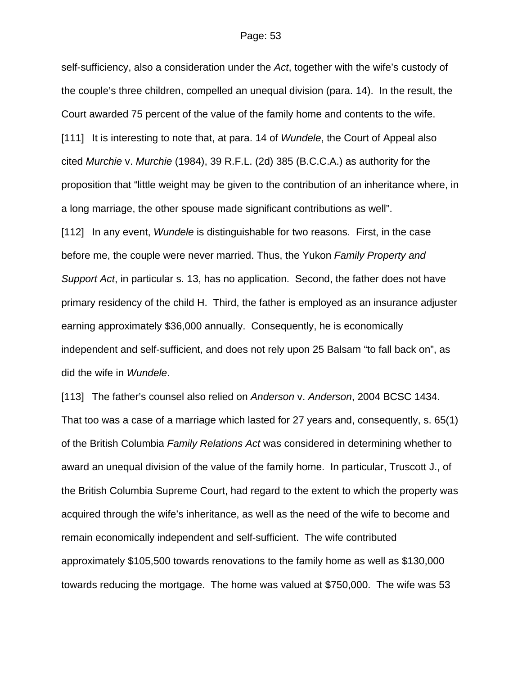self-sufficiency, also a consideration under the *Act*, together with the wife's custody of the couple's three children, compelled an unequal division (para. 14). In the result, the Court awarded 75 percent of the value of the family home and contents to the wife. [111] It is interesting to note that, at para. 14 of *Wundele*, the Court of Appeal also cited *Murchie* v. *Murchie* (1984), 39 R.F.L. (2d) 385 (B.C.C.A.) as authority for the proposition that "little weight may be given to the contribution of an inheritance where, in a long marriage, the other spouse made significant contributions as well". [112] In any event, *Wundele* is distinguishable for two reasons. First, in the case before me, the couple were never married. Thus, the Yukon *Family Property and Support Act*, in particular s. 13, has no application. Second, the father does not have primary residency of the child H. Third, the father is employed as an insurance adjuster earning approximately \$36,000 annually. Consequently, he is economically independent and self-sufficient, and does not rely upon 25 Balsam "to fall back on", as did the wife in *Wundele*.

[113] The father's counsel also relied on *Anderson* v. *Anderson*, 2004 BCSC 1434. That too was a case of a marriage which lasted for 27 years and, consequently, s. 65(1) of the British Columbia *Family Relations Act* was considered in determining whether to award an unequal division of the value of the family home. In particular, Truscott J., of the British Columbia Supreme Court, had regard to the extent to which the property was acquired through the wife's inheritance, as well as the need of the wife to become and remain economically independent and self-sufficient. The wife contributed approximately \$105,500 towards renovations to the family home as well as \$130,000 towards reducing the mortgage. The home was valued at \$750,000. The wife was 53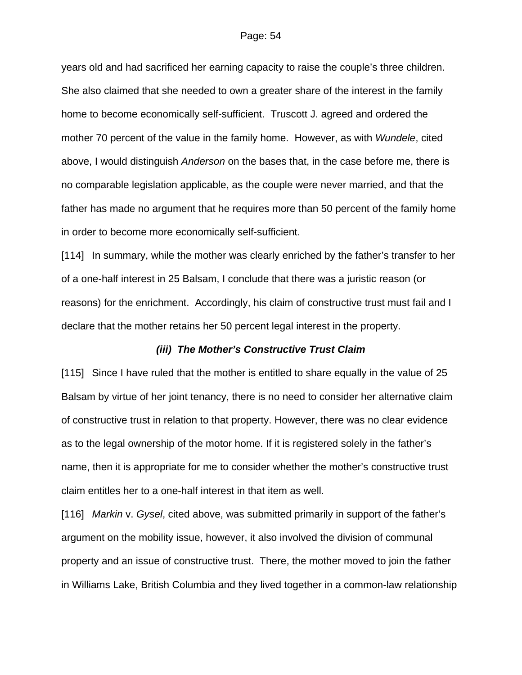years old and had sacrificed her earning capacity to raise the couple's three children. She also claimed that she needed to own a greater share of the interest in the family home to become economically self-sufficient. Truscott J. agreed and ordered the mother 70 percent of the value in the family home. However, as with *Wundele*, cited above, I would distinguish *Anderson* on the bases that, in the case before me, there is no comparable legislation applicable, as the couple were never married, and that the father has made no argument that he requires more than 50 percent of the family home in order to become more economically self-sufficient.

[114] In summary, while the mother was clearly enriched by the father's transfer to her of a one-half interest in 25 Balsam, I conclude that there was a juristic reason (or reasons) for the enrichment. Accordingly, his claim of constructive trust must fail and I declare that the mother retains her 50 percent legal interest in the property.

## *(iii) The Mother's Constructive Trust Claim*

[115] Since I have ruled that the mother is entitled to share equally in the value of 25 Balsam by virtue of her joint tenancy, there is no need to consider her alternative claim of constructive trust in relation to that property. However, there was no clear evidence as to the legal ownership of the motor home. If it is registered solely in the father's name, then it is appropriate for me to consider whether the mother's constructive trust claim entitles her to a one-half interest in that item as well.

[116] *Markin* v. *Gysel*, cited above, was submitted primarily in support of the father's argument on the mobility issue, however, it also involved the division of communal property and an issue of constructive trust. There, the mother moved to join the father in Williams Lake, British Columbia and they lived together in a common-law relationship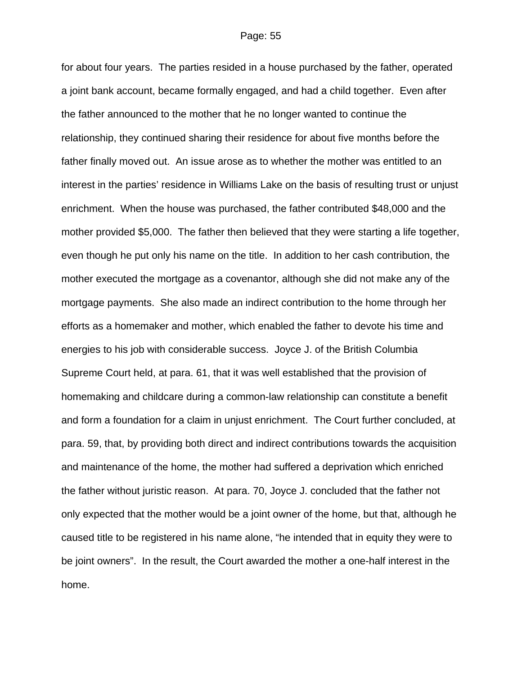for about four years. The parties resided in a house purchased by the father, operated a joint bank account, became formally engaged, and had a child together. Even after the father announced to the mother that he no longer wanted to continue the relationship, they continued sharing their residence for about five months before the father finally moved out. An issue arose as to whether the mother was entitled to an interest in the parties' residence in Williams Lake on the basis of resulting trust or unjust enrichment. When the house was purchased, the father contributed \$48,000 and the mother provided \$5,000. The father then believed that they were starting a life together, even though he put only his name on the title. In addition to her cash contribution, the mother executed the mortgage as a covenantor, although she did not make any of the mortgage payments. She also made an indirect contribution to the home through her efforts as a homemaker and mother, which enabled the father to devote his time and energies to his job with considerable success. Joyce J. of the British Columbia Supreme Court held, at para. 61, that it was well established that the provision of homemaking and childcare during a common-law relationship can constitute a benefit and form a foundation for a claim in unjust enrichment. The Court further concluded, at para. 59, that, by providing both direct and indirect contributions towards the acquisition and maintenance of the home, the mother had suffered a deprivation which enriched the father without juristic reason. At para. 70, Joyce J. concluded that the father not only expected that the mother would be a joint owner of the home, but that, although he caused title to be registered in his name alone, "he intended that in equity they were to be joint owners". In the result, the Court awarded the mother a one-half interest in the home.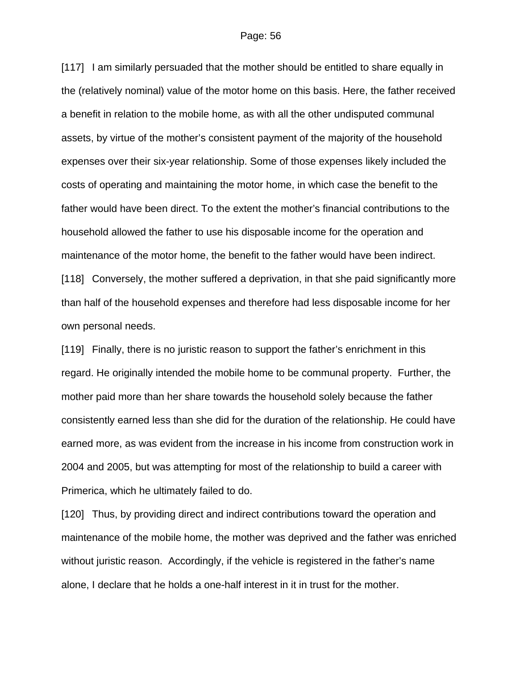[117] I am similarly persuaded that the mother should be entitled to share equally in the (relatively nominal) value of the motor home on this basis. Here, the father received a benefit in relation to the mobile home, as with all the other undisputed communal assets, by virtue of the mother's consistent payment of the majority of the household expenses over their six-year relationship. Some of those expenses likely included the costs of operating and maintaining the motor home, in which case the benefit to the father would have been direct. To the extent the mother's financial contributions to the household allowed the father to use his disposable income for the operation and maintenance of the motor home, the benefit to the father would have been indirect. [118] Conversely, the mother suffered a deprivation, in that she paid significantly more than half of the household expenses and therefore had less disposable income for her own personal needs.

[119] Finally, there is no juristic reason to support the father's enrichment in this regard. He originally intended the mobile home to be communal property. Further, the mother paid more than her share towards the household solely because the father consistently earned less than she did for the duration of the relationship. He could have earned more, as was evident from the increase in his income from construction work in 2004 and 2005, but was attempting for most of the relationship to build a career with Primerica, which he ultimately failed to do.

[120] Thus, by providing direct and indirect contributions toward the operation and maintenance of the mobile home, the mother was deprived and the father was enriched without juristic reason. Accordingly, if the vehicle is registered in the father's name alone, I declare that he holds a one-half interest in it in trust for the mother.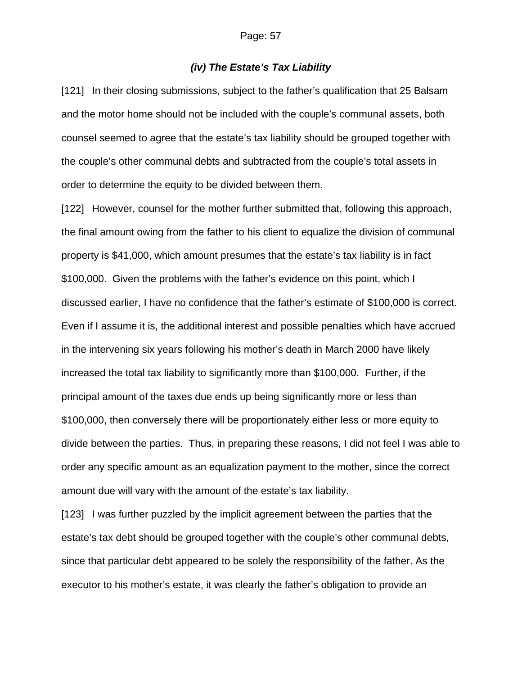## *(iv) The Estate's Tax Liability*

[121] In their closing submissions, subject to the father's qualification that 25 Balsam and the motor home should not be included with the couple's communal assets, both counsel seemed to agree that the estate's tax liability should be grouped together with the couple's other communal debts and subtracted from the couple's total assets in order to determine the equity to be divided between them.

[122] However, counsel for the mother further submitted that, following this approach, the final amount owing from the father to his client to equalize the division of communal property is \$41,000, which amount presumes that the estate's tax liability is in fact \$100,000. Given the problems with the father's evidence on this point, which I discussed earlier, I have no confidence that the father's estimate of \$100,000 is correct. Even if I assume it is, the additional interest and possible penalties which have accrued in the intervening six years following his mother's death in March 2000 have likely increased the total tax liability to significantly more than \$100,000. Further, if the principal amount of the taxes due ends up being significantly more or less than \$100,000, then conversely there will be proportionately either less or more equity to divide between the parties. Thus, in preparing these reasons, I did not feel I was able to order any specific amount as an equalization payment to the mother, since the correct amount due will vary with the amount of the estate's tax liability.

[123] I was further puzzled by the implicit agreement between the parties that the estate's tax debt should be grouped together with the couple's other communal debts, since that particular debt appeared to be solely the responsibility of the father. As the executor to his mother's estate, it was clearly the father's obligation to provide an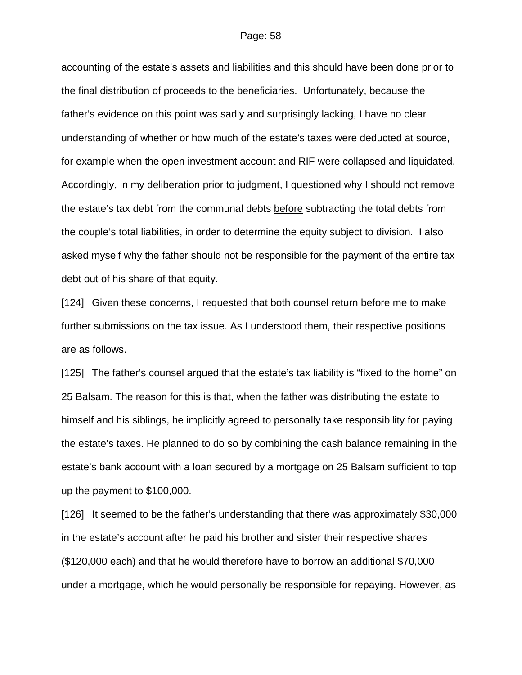accounting of the estate's assets and liabilities and this should have been done prior to the final distribution of proceeds to the beneficiaries. Unfortunately, because the father's evidence on this point was sadly and surprisingly lacking, I have no clear understanding of whether or how much of the estate's taxes were deducted at source, for example when the open investment account and RIF were collapsed and liquidated. Accordingly, in my deliberation prior to judgment, I questioned why I should not remove the estate's tax debt from the communal debts before subtracting the total debts from the couple's total liabilities, in order to determine the equity subject to division. I also asked myself why the father should not be responsible for the payment of the entire tax debt out of his share of that equity.

[124] Given these concerns, I requested that both counsel return before me to make further submissions on the tax issue. As I understood them, their respective positions are as follows.

[125] The father's counsel argued that the estate's tax liability is "fixed to the home" on 25 Balsam. The reason for this is that, when the father was distributing the estate to himself and his siblings, he implicitly agreed to personally take responsibility for paying the estate's taxes. He planned to do so by combining the cash balance remaining in the estate's bank account with a loan secured by a mortgage on 25 Balsam sufficient to top up the payment to \$100,000.

[126] It seemed to be the father's understanding that there was approximately \$30,000 in the estate's account after he paid his brother and sister their respective shares (\$120,000 each) and that he would therefore have to borrow an additional \$70,000 under a mortgage, which he would personally be responsible for repaying. However, as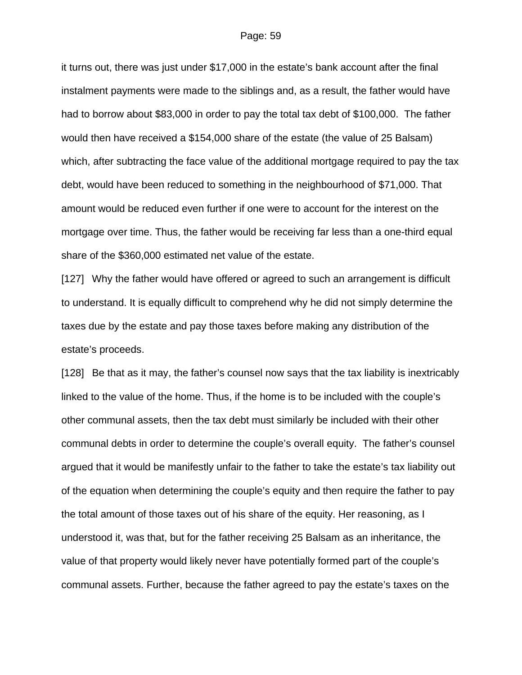it turns out, there was just under \$17,000 in the estate's bank account after the final instalment payments were made to the siblings and, as a result, the father would have had to borrow about \$83,000 in order to pay the total tax debt of \$100,000. The father would then have received a \$154,000 share of the estate (the value of 25 Balsam) which, after subtracting the face value of the additional mortgage required to pay the tax debt, would have been reduced to something in the neighbourhood of \$71,000. That amount would be reduced even further if one were to account for the interest on the mortgage over time. Thus, the father would be receiving far less than a one-third equal share of the \$360,000 estimated net value of the estate.

[127] Why the father would have offered or agreed to such an arrangement is difficult to understand. It is equally difficult to comprehend why he did not simply determine the taxes due by the estate and pay those taxes before making any distribution of the estate's proceeds.

[128] Be that as it may, the father's counsel now says that the tax liability is inextricably linked to the value of the home. Thus, if the home is to be included with the couple's other communal assets, then the tax debt must similarly be included with their other communal debts in order to determine the couple's overall equity. The father's counsel argued that it would be manifestly unfair to the father to take the estate's tax liability out of the equation when determining the couple's equity and then require the father to pay the total amount of those taxes out of his share of the equity. Her reasoning, as I understood it, was that, but for the father receiving 25 Balsam as an inheritance, the value of that property would likely never have potentially formed part of the couple's communal assets. Further, because the father agreed to pay the estate's taxes on the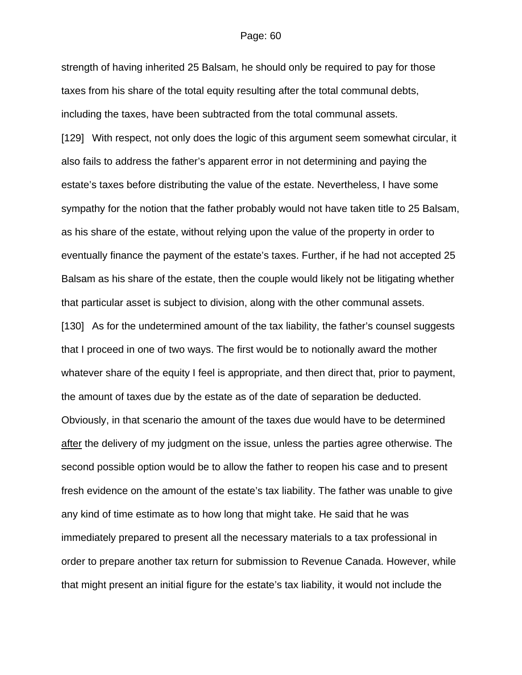strength of having inherited 25 Balsam, he should only be required to pay for those taxes from his share of the total equity resulting after the total communal debts, including the taxes, have been subtracted from the total communal assets. [129] With respect, not only does the logic of this argument seem somewhat circular, it also fails to address the father's apparent error in not determining and paying the estate's taxes before distributing the value of the estate. Nevertheless, I have some sympathy for the notion that the father probably would not have taken title to 25 Balsam, as his share of the estate, without relying upon the value of the property in order to eventually finance the payment of the estate's taxes. Further, if he had not accepted 25 Balsam as his share of the estate, then the couple would likely not be litigating whether that particular asset is subject to division, along with the other communal assets. [130] As for the undetermined amount of the tax liability, the father's counsel suggests that I proceed in one of two ways. The first would be to notionally award the mother whatever share of the equity I feel is appropriate, and then direct that, prior to payment, the amount of taxes due by the estate as of the date of separation be deducted. Obviously, in that scenario the amount of the taxes due would have to be determined after the delivery of my judgment on the issue, unless the parties agree otherwise. The second possible option would be to allow the father to reopen his case and to present fresh evidence on the amount of the estate's tax liability. The father was unable to give any kind of time estimate as to how long that might take. He said that he was immediately prepared to present all the necessary materials to a tax professional in order to prepare another tax return for submission to Revenue Canada. However, while that might present an initial figure for the estate's tax liability, it would not include the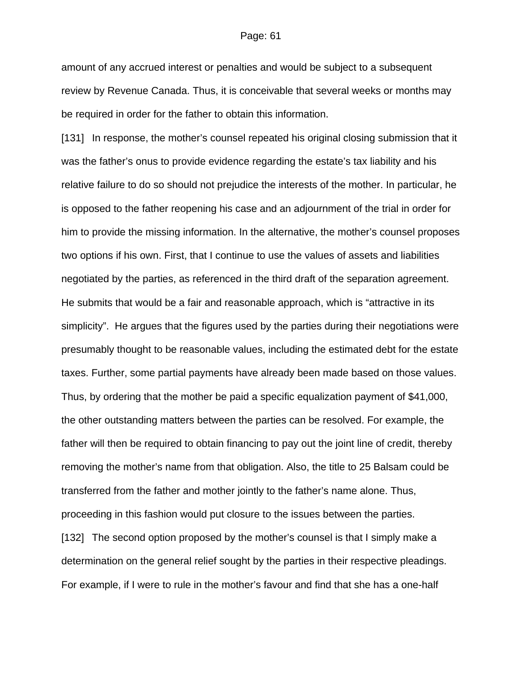amount of any accrued interest or penalties and would be subject to a subsequent review by Revenue Canada. Thus, it is conceivable that several weeks or months may be required in order for the father to obtain this information.

[131] In response, the mother's counsel repeated his original closing submission that it was the father's onus to provide evidence regarding the estate's tax liability and his relative failure to do so should not prejudice the interests of the mother. In particular, he is opposed to the father reopening his case and an adjournment of the trial in order for him to provide the missing information. In the alternative, the mother's counsel proposes two options if his own. First, that I continue to use the values of assets and liabilities negotiated by the parties, as referenced in the third draft of the separation agreement. He submits that would be a fair and reasonable approach, which is "attractive in its simplicity". He argues that the figures used by the parties during their negotiations were presumably thought to be reasonable values, including the estimated debt for the estate taxes. Further, some partial payments have already been made based on those values. Thus, by ordering that the mother be paid a specific equalization payment of \$41,000, the other outstanding matters between the parties can be resolved. For example, the father will then be required to obtain financing to pay out the joint line of credit, thereby removing the mother's name from that obligation. Also, the title to 25 Balsam could be transferred from the father and mother jointly to the father's name alone. Thus, proceeding in this fashion would put closure to the issues between the parties. [132] The second option proposed by the mother's counsel is that I simply make a determination on the general relief sought by the parties in their respective pleadings. For example, if I were to rule in the mother's favour and find that she has a one-half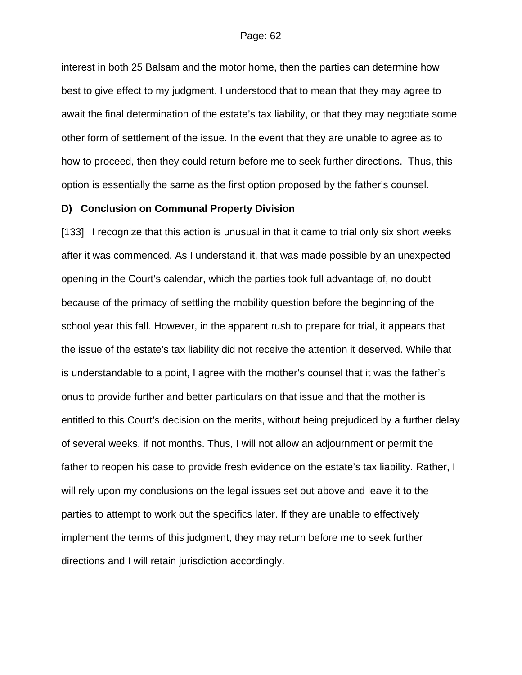interest in both 25 Balsam and the motor home, then the parties can determine how best to give effect to my judgment. I understood that to mean that they may agree to await the final determination of the estate's tax liability, or that they may negotiate some other form of settlement of the issue. In the event that they are unable to agree as to how to proceed, then they could return before me to seek further directions. Thus, this option is essentially the same as the first option proposed by the father's counsel.

## **D) Conclusion on Communal Property Division**

[133] I recognize that this action is unusual in that it came to trial only six short weeks after it was commenced. As I understand it, that was made possible by an unexpected opening in the Court's calendar, which the parties took full advantage of, no doubt because of the primacy of settling the mobility question before the beginning of the school year this fall. However, in the apparent rush to prepare for trial, it appears that the issue of the estate's tax liability did not receive the attention it deserved. While that is understandable to a point, I agree with the mother's counsel that it was the father's onus to provide further and better particulars on that issue and that the mother is entitled to this Court's decision on the merits, without being prejudiced by a further delay of several weeks, if not months. Thus, I will not allow an adjournment or permit the father to reopen his case to provide fresh evidence on the estate's tax liability. Rather, I will rely upon my conclusions on the legal issues set out above and leave it to the parties to attempt to work out the specifics later. If they are unable to effectively implement the terms of this judgment, they may return before me to seek further directions and I will retain jurisdiction accordingly.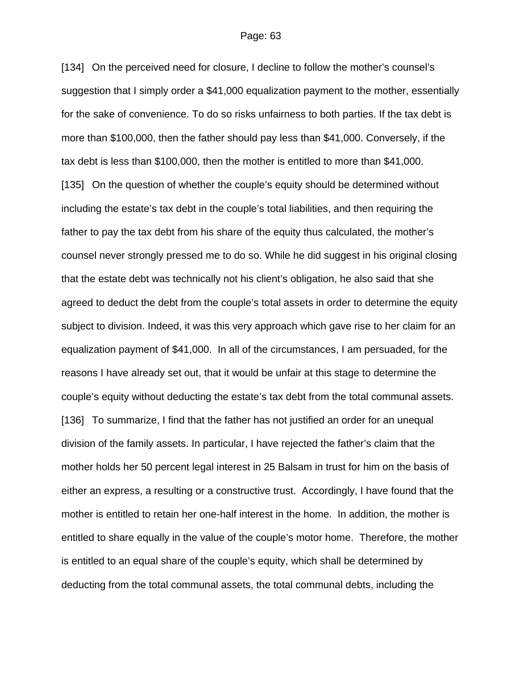[134] On the perceived need for closure, I decline to follow the mother's counsel's suggestion that I simply order a \$41,000 equalization payment to the mother, essentially for the sake of convenience. To do so risks unfairness to both parties. If the tax debt is more than \$100,000, then the father should pay less than \$41,000. Conversely, if the tax debt is less than \$100,000, then the mother is entitled to more than \$41,000. [135] On the question of whether the couple's equity should be determined without including the estate's tax debt in the couple's total liabilities, and then requiring the father to pay the tax debt from his share of the equity thus calculated, the mother's counsel never strongly pressed me to do so. While he did suggest in his original closing that the estate debt was technically not his client's obligation, he also said that she agreed to deduct the debt from the couple's total assets in order to determine the equity subject to division. Indeed, it was this very approach which gave rise to her claim for an equalization payment of \$41,000. In all of the circumstances, I am persuaded, for the reasons I have already set out, that it would be unfair at this stage to determine the couple's equity without deducting the estate's tax debt from the total communal assets. [136] To summarize, I find that the father has not justified an order for an unequal division of the family assets. In particular, I have rejected the father's claim that the mother holds her 50 percent legal interest in 25 Balsam in trust for him on the basis of either an express, a resulting or a constructive trust. Accordingly, I have found that the mother is entitled to retain her one-half interest in the home. In addition, the mother is entitled to share equally in the value of the couple's motor home. Therefore, the mother is entitled to an equal share of the couple's equity, which shall be determined by deducting from the total communal assets, the total communal debts, including the